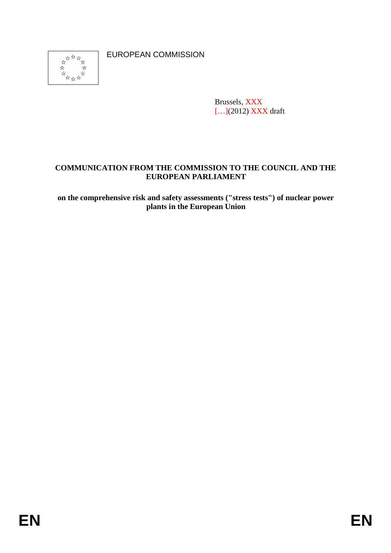

EUROPEAN COMMISSION

Brussels, XXX [...](2012) **XXX** draft

# **COMMUNICATION FROM THE COMMISSION TO THE COUNCIL AND THE EUROPEAN PARLIAMENT**

**on the comprehensive risk and safety assessments ("stress tests") of nuclear power plants in the European Union**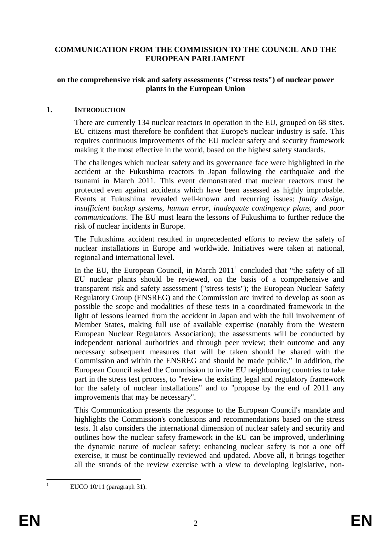### **COMMUNICATION FROM THE COMMISSION TO THE COUNCIL AND THE EUROPEAN PARLIAMENT**

#### **on the comprehensive risk and safety assessments ("stress tests") of nuclear power plants in the European Union**

#### **1. INTRODUCTION**

There are currently 134 nuclear reactors in operation in the EU, grouped on 68 sites. EU citizens must therefore be confident that Europe's nuclear industry is safe. This requires continuous improvements of the EU nuclear safety and security framework making it the most effective in the world, based on the highest safety standards.

The challenges which nuclear safety and its governance face were highlighted in the accident at the Fukushima reactors in Japan following the earthquake and the tsunami in March 2011. This event demonstrated that nuclear reactors must be protected even against accidents which have been assessed as highly improbable. Events at Fukushima revealed well-known and recurring issues: *faulty design, insufficient backup systems, human error, inadequate contingency plans,* and *poor communications*. The EU must learn the lessons of Fukushima to further reduce the risk of nuclear incidents in Europe.

The Fukushima accident resulted in unprecedented efforts to review the safety of nuclear installations in Europe and worldwide. Initiatives were taken at national, regional and international level.

In the EU, the European Council, in March  $2011<sup>1</sup>$  concluded that "the safety of all EU nuclear plants should be reviewed, on the basis of a comprehensive and transparent risk and safety assessment ("stress tests"); the European Nuclear Safety Regulatory Group (ENSREG) and the Commission are invited to develop as soon as possible the scope and modalities of these tests in a coordinated framework in the light of lessons learned from the accident in Japan and with the full involvement of Member States, making full use of available expertise (notably from the Western European Nuclear Regulators Association); the assessments will be conducted by independent national authorities and through peer review; their outcome and any necessary subsequent measures that will be taken should be shared with the Commission and within the ENSREG and should be made public." In addition, the European Council asked the Commission to invite EU neighbouring countries to take part in the stress test process, to "review the existing legal and regulatory framework for the safety of nuclear installations" and to "propose by the end of 2011 any improvements that may be necessary".

This Communication presents the response to the European Council's mandate and highlights the Commission's conclusions and recommendations based on the stress tests. It also considers the international dimension of nuclear safety and security and outlines how the nuclear safety framework in the EU can be improved, underlining the dynamic nature of nuclear safety: enhancing nuclear safety is not a one off exercise, it must be continually reviewed and updated. Above all, it brings together all the strands of the review exercise with a view to developing legislative, non-

EUCO  $10/11$  (paragraph 31).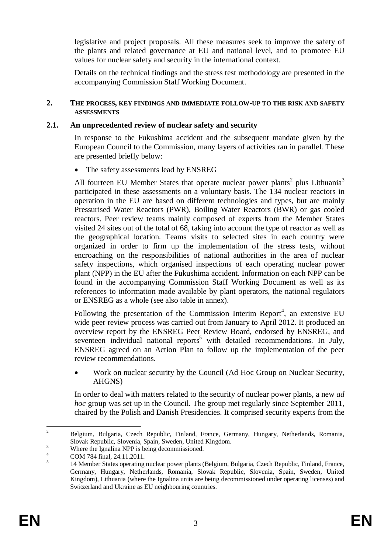legislative and project proposals. All these measures seek to improve the safety of the plants and related governance at EU and national level, and to promotee EU values for nuclear safety and security in the international context.

Details on the technical findings and the stress test methodology are presented in the accompanying Commission Staff Working Document.

#### **2. THE PROCESS, KEY FINDINGS AND IMMEDIATE FOLLOW-UP TO THE RISK AND SAFETY ASSESSMENTS**

#### **2.1. An unprecedented review of nuclear safety and security**

In response to the Fukushima accident and the subsequent mandate given by the European Council to the Commission, many layers of activities ran in parallel. These are presented briefly below:

#### The safety assessments lead by ENSREG

All fourteen EU Member States that operate nuclear power plants<sup>2</sup> plus Lithuania<sup>3</sup> participated in these assessments on a voluntary basis. The 134 nuclear reactors in operation in the EU are based on different technologies and types, but are mainly Pressurised Water Reactors (PWR), Boiling Water Reactors (BWR) or gas cooled reactors. Peer review teams mainly composed of experts from the Member States visited 24 sites out of the total of 68, taking into account the type of reactor as well as the geographical location. Teams visits to selected sites in each country were organized in order to firm up the implementation of the stress tests, without encroaching on the responsibilities of national authorities in the area of nuclear safety inspections, which organised inspections of each operating nuclear power plant (NPP) in the EU after the Fukushima accident. Information on each NPP can be found in the accompanying Commission Staff Working Document as well as its references to information made available by plant operators, the national regulators or ENSREG as a whole (see also table in annex).

Following the presentation of the Commission Interim Report<sup>4</sup>, an extensive EU wide peer review process was carried out from January to April 2012. It produced an overview report by the ENSREG Peer Review Board, endorsed by ENSREG, and seventeen individual national reports<sup>5</sup> with detailed recommendations. In July, ENSREG agreed on an Action Plan to follow up the implementation of the peer review recommendations.

#### • Work on nuclear security by the Council (Ad Hoc Group on Nuclear Security, AHGNS)

In order to deal with matters related to the security of nuclear power plants, a new *ad hoc* group was set up in the Council. The group met regularly since September 2011, chaired by the Polish and Danish Presidencies. It comprised security experts from the

<sup>&</sup>lt;sup>2</sup> Belgium, Bulgaria, Czech Republic, Finland, France, Germany, Hungary, Netherlands, Romania, Slovak Republic, Slovenia, Spain, Sweden, United Kingdom.

 $\frac{3}{4}$  Where the Ignalina NPP is being decommissioned.

COM 784 final, 24.11.2011.

<sup>5</sup> 14 Member States operating nuclear power plants (Belgium, Bulgaria, Czech Republic, Finland, France, Germany, Hungary, Netherlands, Romania, Slovak Republic, Slovenia, Spain, Sweden, United Kingdom), Lithuania (where the Ignalina units are being decommissioned under operating licenses) and Switzerland and Ukraine as EU neighbouring countries.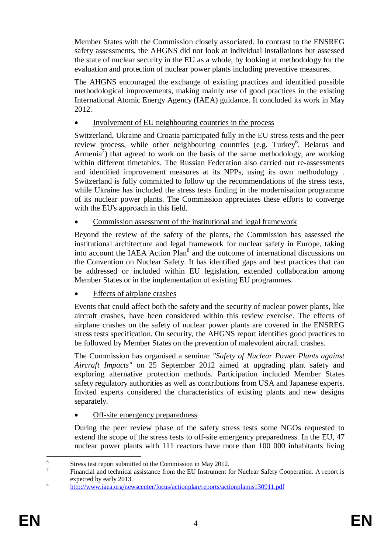Member States with the Commission closely associated. In contrast to the ENSREG safety assessments, the AHGNS did not look at individual installations but assessed the state of nuclear security in the EU as a whole, by looking at methodology for the evaluation and protection of nuclear power plants including preventive measures.

The AHGNS encouraged the exchange of existing practices and identified possible methodological improvements, making mainly use of good practices in the existing International Atomic Energy Agency (IAEA) guidance. It concluded its work in May 2012.

Involvement of EU neighbouring countries in the process

Switzerland, Ukraine and Croatia participated fully in the EU stress tests and the peer review process, while other neighbouring countries (e.g. Turkey<sup>6</sup>, Belarus and Armenia<sup>7</sup>) that agreed to work on the basis of the same methodology, are working within different timetables. The Russian Federation also carried out re-assessments and identified improvement measures at its NPPs, using its own methodology . Switzerland is fully committed to follow up the recommendations of the stress tests, while Ukraine has included the stress tests finding in the modernisation programme of its nuclear power plants. The Commission appreciates these efforts to converge with the EU's approach in this field.

Commission assessment of the institutional and legal framework

Beyond the review of the safety of the plants, the Commission has assessed the institutional architecture and legal framework for nuclear safety in Europe, taking into account the IAEA Action Plan<sup>8</sup> and the outcome of international discussions on the Convention on Nuclear Safety. It has identified gaps and best practices that can be addressed or included within EU legislation, extended collaboration among Member States or in the implementation of existing EU programmes.

Effects of airplane crashes

Events that could affect both the safety and the security of nuclear power plants, like aircraft crashes, have been considered within this review exercise. The effects of airplane crashes on the safety of nuclear power plants are covered in the ENSREG stress tests specification. On security, the AHGNS report identifies good practices to be followed by Member States on the prevention of malevolent aircraft crashes.

The Commission has organised a seminar *"Safety of Nuclear Power Plants against Aircraft Impacts"* on 25 September 2012 aimed at upgrading plant safety and exploring alternative protection methods. Participation included Member States safety regulatory authorities as well as contributions from USA and Japanese experts. Invited experts considered the characteristics of existing plants and new designs separately.

## Off-site emergency preparedness

During the peer review phase of the safety stress tests some NGOs requested to extend the scope of the stress tests to off-site emergency preparedness. In the EU, 47 nuclear power plants with 111 reactors have more than 100 000 inhabitants living

<sup>6</sup> Stress test report submitted to the Commission in May 2012.

<sup>7</sup> Financial and technical assistance from the EU Instrument for Nuclear Safety Cooperation. A report is expected by early 2013.

<sup>8</sup> http://www.iaea.org/newscenter/focus/actionplan/reports/actionplanns130911.pdf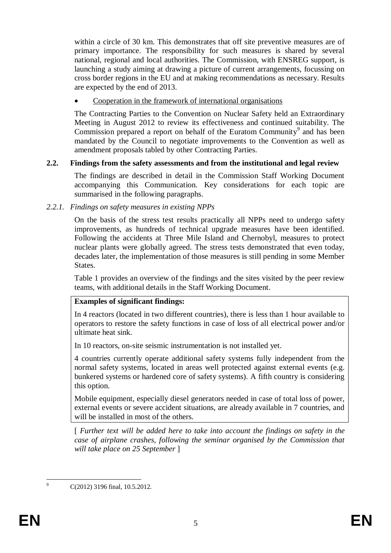within a circle of 30 km. This demonstrates that off site preventive measures are of primary importance. The responsibility for such measures is shared by several national, regional and local authorities. The Commission, with ENSREG support, is launching a study aiming at drawing a picture of current arrangements, focussing on cross border regions in the EU and at making recommendations as necessary. Results are expected by the end of 2013.

Cooperation in the framework of international organisations

The Contracting Parties to the Convention on Nuclear Safety held an Extraordinary Meeting in August 2012 to review its effectiveness and continued suitability. The Commission prepared a report on behalf of the Euratom Community<sup>9</sup> and has been mandated by the Council to negotiate improvements to the Convention as well as amendment proposals tabled by other Contracting Parties.

## **2.2. Findings from the safety assessments and from the institutional and legal review**

The findings are described in detail in the Commission Staff Working Document accompanying this Communication. Key considerations for each topic are summarised in the following paragraphs.

## *2.2.1. Findings on safety measures in existing NPPs*

On the basis of the stress test results practically all NPPs need to undergo safety improvements, as hundreds of technical upgrade measures have been identified. Following the accidents at Three Mile Island and Chernobyl, measures to protect nuclear plants were globally agreed. The stress tests demonstrated that even today, decades later, the implementation of those measures is still pending in some Member States.

Table 1 provides an overview of the findings and the sites visited by the peer review teams, with additional details in the Staff Working Document.

## **Examples of significant findings:**

In 4 reactors (located in two different countries), there is less than 1 hour available to operators to restore the safety functions in case of loss of all electrical power and/or ultimate heat sink.

In 10 reactors, on-site seismic instrumentation is not installed yet.

4 countries currently operate additional safety systems fully independent from the normal safety systems, located in areas well protected against external events (e.g. bunkered systems or hardened core of safety systems). A fifth country is considering this option.

Mobile equipment, especially diesel generators needed in case of total loss of power, external events or severe accident situations, are already available in 7 countries, and will be installed in most of the others.

[ *Further text will be added here to take into account the findings on safety in the case of airplane crashes, following the seminar organised by the Commission that will take place on 25 September* ]

C(2012) 3196 final, 10.5.2012.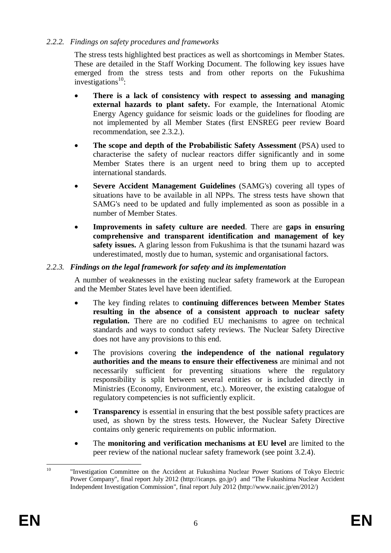## *2.2.2. Findings on safety procedures and frameworks*

The stress tests highlighted best practices as well as shortcomings in Member States. These are detailed in the Staff Working Document. The following key issues have emerged from the stress tests and from other reports on the Fukushima investigations $^{10}$ :

- **There is a lack of consistency with respect to assessing and managing external hazards to plant safety.** For example, the International Atomic Energy Agency guidance for seismic loads or the guidelines for flooding are not implemented by all Member States (first ENSREG peer review Board recommendation, see 2.3.2.).
- **The scope and depth of the Probabilistic Safety Assessment** (PSA) used to characterise the safety of nuclear reactors differ significantly and in some Member States there is an urgent need to bring them up to accepted international standards.
- **Severe Accident Management Guidelines** (SAMG's) covering all types of situations have to be available in all NPPs. The stress tests have shown that SAMG's need to be updated and fully implemented as soon as possible in a number of Member States.
- **Improvements in safety culture are needed**. There are **gaps in ensuring comprehensive and transparent identification and management of key safety issues.** A glaring lesson from Fukushima is that the tsunami hazard was underestimated, mostly due to human, systemic and organisational factors.

# *2.2.3. Findings on the legal framework for safety and its implementation*

A number of weaknesses in the existing nuclear safety framework at the European and the Member States level have been identified.

- The key finding relates to **continuing differences between Member States resulting in the absence of a consistent approach to nuclear safety regulation.** There are no codified EU mechanisms to agree on technical standards and ways to conduct safety reviews. The Nuclear Safety Directive does not have any provisions to this end.
- The provisions covering **the independence of the national regulatory authorities and the means to ensure their effectiveness** are minimal and not necessarily sufficient for preventing situations where the regulatory responsibility is split between several entities or is included directly in Ministries (Economy, Environment, etc.). Moreover, the existing catalogue of regulatory competencies is not sufficiently explicit.
- **Transparency** is essential in ensuring that the best possible safety practices are used, as shown by the stress tests. However, the Nuclear Safety Directive contains only generic requirements on public information.
- The **monitoring and verification mechanisms at EU level** are limited to the peer review of the national nuclear safety framework (see point 3.2.4).

<sup>10</sup> "Investigation Committee on the Accident at Fukushima Nuclear Power Stations of Tokyo Electric Power Company", final report July 2012 (http://icanps. go.jp/) and "The Fukushima Nuclear Accident Independent Investigation Commission", final report July 2012 (http://www.naiic.jp/en/2012/)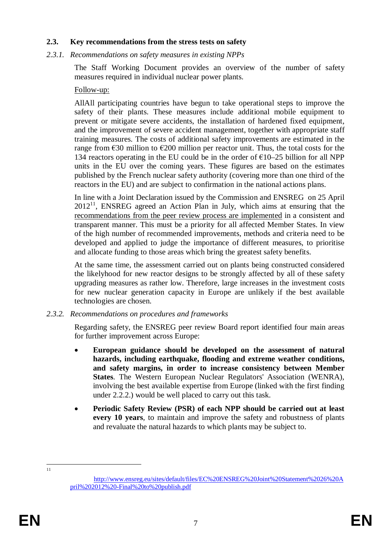#### **2.3. Key recommendations from the stress tests on safety**

#### *2.3.1. Recommendations on safety measures in existing NPPs*

The Staff Working Document provides an overview of the number of safety measures required in individual nuclear power plants.

#### Follow-up:

AllAll participating countries have begun to take operational steps to improve the safety of their plants. These measures include additional mobile equipment to prevent or mitigate severe accidents, the installation of hardened fixed equipment, and the improvement of severe accident management, together with appropriate staff training measures. The costs of additional safety improvements are estimated in the range from  $\epsilon$ 30 million to  $\epsilon$ 200 million per reactor unit. Thus, the total costs for the 134 reactors operating in the EU could be in the order of  $\epsilon$ 10–25 billion for all NPP units in the EU over the coming years. These figures are based on the estimates published by the French nuclear safety authority (covering more than one third of the reactors in the EU) and are subject to confirmation in the national actions plans.

In line with a Joint Declaration issued by the Commission and ENSREG on 25 April  $2012<sup>11</sup>$ , ENSREG agreed an Action Plan in July, which aims at ensuring that the recommendations from the peer review process are implemented in a consistent and transparent manner. This must be a priority for all affected Member States. In view of the high number of recommended improvements, methods and criteria need to be developed and applied to judge the importance of different measures, to prioritise and allocate funding to those areas which bring the greatest safety benefits.

At the same time, the assessment carried out on plants being constructed considered the likelyhood for new reactor designs to be strongly affected by all of these safety upgrading measures as rather low. Therefore, large increases in the investment costs for new nuclear generation capacity in Europe are unlikely if the best available technologies are chosen.

#### *2.3.2. Recommendations on procedures and frameworks*

Regarding safety, the ENSREG peer review Board report identified four main areas for further improvement across Europe:

- **European guidance should be developed on the assessment of natural hazards, including earthquake, flooding and extreme weather conditions, and safety margins, in order to increase consistency between Member States**. The Western European Nuclear Regulators' Association (WENRA), involving the best available expertise from Europe (linked with the first finding under 2.2.2.) would be well placed to carry out this task.
- **Periodic Safety Review (PSR) of each NPP should be carried out at least every 10 years**, to maintain and improve the safety and robustness of plants and revaluate the natural hazards to which plants may be subject to.

11

http://www.ensreg.eu/sites/default/files/EC%20ENSREG%20Joint%20Statement%2026%20A pril%202012%20-Final%20to%20publish.pdf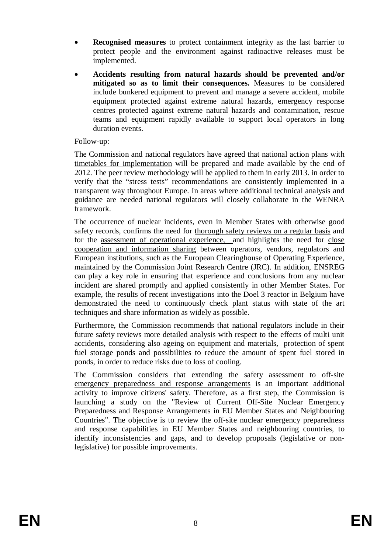- **Recognised measures** to protect containment integrity as the last barrier to protect people and the environment against radioactive releases must be implemented.
- **Accidents resulting from natural hazards should be prevented and/or mitigated so as to limit their consequences.** Measures to be considered include bunkered equipment to prevent and manage a severe accident, mobile equipment protected against extreme natural hazards, emergency response centres protected against extreme natural hazards and contamination, rescue teams and equipment rapidly available to support local operators in long duration events.

#### Follow-up:

The Commission and national regulators have agreed that national action plans with timetables for implementation will be prepared and made available by the end of 2012. The peer review methodology will be applied to them in early 2013. in order to verify that the "stress tests" recommendations are consistently implemented in a transparent way throughout Europe. In areas where additional technical analysis and guidance are needed national regulators will closely collaborate in the WENRA framework.

The occurrence of nuclear incidents, even in Member States with otherwise good safety records, confirms the need for thorough safety reviews on a regular basis and for the assessment of operational experience, and highlights the need for close cooperation and information sharing between operators, vendors, regulators and European institutions, such as the European Clearinghouse of Operating Experience, maintained by the Commission Joint Research Centre (JRC). In addition, ENSREG can play a key role in ensuring that experience and conclusions from any nuclear incident are shared promptly and applied consistently in other Member States. For example, the results of recent investigations into the Doel 3 reactor in Belgium have demonstrated the need to continuously check plant status with state of the art techniques and share information as widely as possible.

Furthermore, the Commission recommends that national regulators include in their future safety reviews more detailed analysis with respect to the effects of multi unit accidents, considering also ageing on equipment and materials, protection of spent fuel storage ponds and possibilities to reduce the amount of spent fuel stored in ponds, in order to reduce risks due to loss of cooling.

The Commission considers that extending the safety assessment to off-site emergency preparedness and response arrangements is an important additional activity to improve citizens' safety. Therefore, as a first step, the Commission is launching a study on the "Review of Current Off-Site Nuclear Emergency Preparedness and Response Arrangements in EU Member States and Neighbouring Countries". The objective is to review the off-site nuclear emergency preparedness and response capabilities in EU Member States and neighbouring countries, to identify inconsistencies and gaps, and to develop proposals (legislative or nonlegislative) for possible improvements.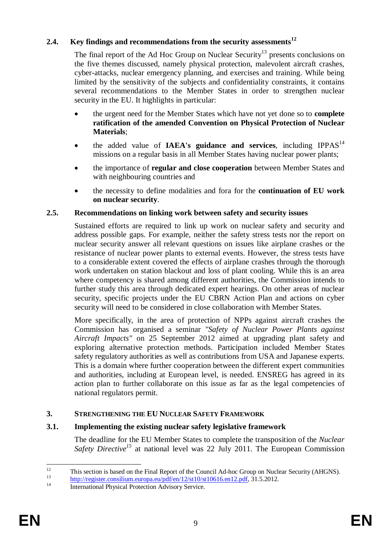## **2.4. Key findings and recommendations from the security assessments<sup>12</sup>**

The final report of the Ad Hoc Group on Nuclear Security<sup>13</sup> presents conclusions on the five themes discussed, namely physical protection, malevolent aircraft crashes, cyber-attacks, nuclear emergency planning, and exercises and training. While being limited by the sensitivity of the subjects and confidentiality constraints, it contains several recommendations to the Member States in order to strengthen nuclear security in the EU. It highlights in particular:

- the urgent need for the Member States which have not yet done so to **complete ratification of the amended Convention on Physical Protection of Nuclear Materials**;
- the added value of **IAEA's guidance and services**, including IPPAS<sup>14</sup> missions on a regular basis in all Member States having nuclear power plants;
- the importance of **regular and close cooperation** between Member States and with neighbouring countries and
- the necessity to define modalities and fora for the **continuation of EU work on nuclear security**.

#### **2.5. Recommendations on linking work between safety and security issues**

Sustained efforts are required to link up work on nuclear safety and security and address possible gaps. For example, neither the safety stress tests nor the report on nuclear security answer all relevant questions on issues like airplane crashes or the resistance of nuclear power plants to external events. However, the stress tests have to a considerable extent covered the effects of airplane crashes through the thorough work undertaken on station blackout and loss of plant cooling. While this is an area where competency is shared among different authorities, the Commission intends to further study this area through dedicated expert hearings. On other areas of nuclear security, specific projects under the EU CBRN Action Plan and actions on cyber security will need to be considered in close collaboration with Member States.

More specifically, in the area of protection of NPPs against aircraft crashes the Commission has organised a seminar *"Safety of Nuclear Power Plants against Aircraft Impacts"* on 25 September 2012 aimed at upgrading plant safety and exploring alternative protection methods. Participation included Member States safety regulatory authorities as well as contributions from USA and Japanese experts. This is a domain where further cooperation between the different expert communities and authorities, including at European level, is needed. ENSREG has agreed in its action plan to further collaborate on this issue as far as the legal competencies of national regulators permit.

## **3. STRENGTHENING THE EU NUCLEAR SAFETY FRAMEWORK**

## **3.1. Implementing the existing nuclear safety legislative framework**

The deadline for the EU Member States to complete the transposition of the *Nuclear Safety Directive<sup>15</sup>* at national level was 22 July 2011. The European Commission

<sup>&</sup>lt;sup>12</sup> This section is based on the Final Report of the Council Ad-hoc Group on Nuclear Security (AHGNS).

 $\frac{13}{14}$  http://register.consilium.europa.eu/pdf/en/12/st10/st10616.en12.pdf, 31.5.2012.

International Physical Protection Advisory Service.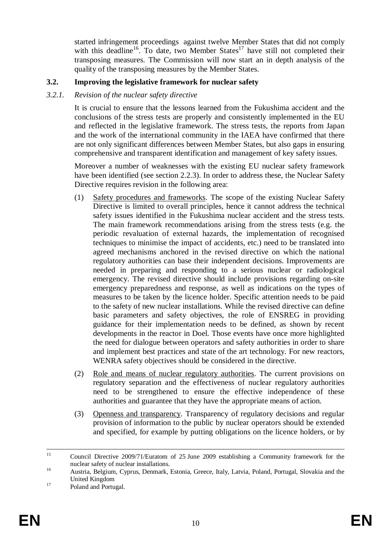started infringement proceedings against twelve Member States that did not comply with this deadline<sup>16</sup>. To date, two Member States<sup>17</sup> have still not completed their transposing measures. The Commission will now start an in depth analysis of the quality of the transposing measures by the Member States.

# **3.2. Improving the legislative framework for nuclear safety**

### *3.2.1. Revision of the nuclear safety directive*

It is crucial to ensure that the lessons learned from the Fukushima accident and the conclusions of the stress tests are properly and consistently implemented in the EU and reflected in the legislative framework. The stress tests, the reports from Japan and the work of the international community in the IAEA have confirmed that there are not only significant differences between Member States, but also gaps in ensuring comprehensive and transparent identification and management of key safety issues.

Moreover a number of weaknesses with the existing EU nuclear safety framework have been identified (see section 2.2.3). In order to address these, the Nuclear Safety Directive requires revision in the following area:

- (1) Safety procedures and frameworks. The scope of the existing Nuclear Safety Directive is limited to overall principles, hence it cannot address the technical safety issues identified in the Fukushima nuclear accident and the stress tests. The main framework recommendations arising from the stress tests (e.g. the periodic revaluation of external hazards, the implementation of recognised techniques to minimise the impact of accidents, etc.) need to be translated into agreed mechanisms anchored in the revised directive on which the national regulatory authorities can base their independent decisions. Improvements are needed in preparing and responding to a serious nuclear or radiological emergency. The revised directive should include provisions regarding on-site emergency preparedness and response, as well as indications on the types of measures to be taken by the licence holder. Specific attention needs to be paid to the safety of new nuclear installations. While the revised directive can define basic parameters and safety objectives, the role of ENSREG in providing guidance for their implementation needs to be defined, as shown by recent developments in the reactor in Doel. Those events have once more highlighted the need for dialogue between operators and safety authorities in order to share and implement best practices and state of the art technology. For new reactors, WENRA safety objectives should be considered in the directive.
- (2) Role and means of nuclear regulatory authorities. The current provisions on regulatory separation and the effectiveness of nuclear regulatory authorities need to be strengthened to ensure the effective independence of these authorities and guarantee that they have the appropriate means of action.
- (3) Openness and transparency. Transparency of regulatory decisions and regular provision of information to the public by nuclear operators should be extended and specified, for example by putting obligations on the licence holders, or by

<sup>15</sup> Council Directive 2009/71/Euratom of 25 June 2009 establishing a Community framework for the nuclear safety of nuclear installations.

<sup>16</sup> Austria, Belgium, Cyprus, Denmark, Estonia, Greece, Italy, Latvia, Poland, Portugal, Slovakia and the United Kingdom

<sup>&</sup>lt;sup>17</sup> Poland and Portugal.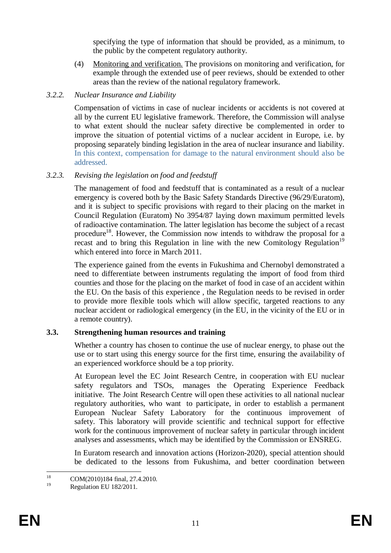specifying the type of information that should be provided, as a minimum, to the public by the competent regulatory authority.

(4) Monitoring and verification. The provisions on monitoring and verification, for example through the extended use of peer reviews, should be extended to other areas than the review of the national regulatory framework.

## *3.2.2. Nuclear Insurance and Liability*

Compensation of victims in case of nuclear incidents or accidents is not covered at all by the current EU legislative framework. Therefore, the Commission will analyse to what extent should the nuclear safety directive be complemented in order to improve the situation of potential victims of a nuclear accident in Europe, i.e. by proposing separately binding legislation in the area of nuclear insurance and liability. In this context, compensation for damage to the natural environment should also be addressed.

# *3.2.3. Revising the legislation on food and feedstuff*

The management of food and feedstuff that is contaminated as a result of a nuclear emergency is covered both by the Basic Safety Standards Directive (96/29/Euratom), and it is subject to specific provisions with regard to their placing on the market in Council Regulation (Euratom) No 3954/87 laying down maximum permitted levels of radioactive contamination. The latter legislation has become the subject of a recast procedure<sup>18</sup>. However, the Commission now intends to withdraw the proposal for a recast and to bring this Regulation in line with the new Comitology Regulation<sup>19</sup> which entered into force in March 2011.

The experience gained from the events in Fukushima and Chernobyl demonstrated a need to differentiate between instruments regulating the import of food from third counties and those for the placing on the market of food in case of an accident within the EU. On the basis of this experience , the Regulation needs to be revised in order to provide more flexible tools which will allow specific, targeted reactions to any nuclear accident or radiological emergency (in the EU, in the vicinity of the EU or in a remote country).

## **3.3. Strengthening human resources and training**

Whether a country has chosen to continue the use of nuclear energy, to phase out the use or to start using this energy source for the first time, ensuring the availability of an experienced workforce should be a top priority.

At European level the EC Joint Research Centre, in cooperation with EU nuclear safety regulators and TSOs, manages the Operating Experience Feedback initiative. The Joint Research Centre will open these activities to all national nuclear regulatory authorities, who want to participate, in order to establish a permanent European Nuclear Safety Laboratory for the continuous improvement of safety. This laboratory will provide scientific and technical support for effective work for the continuous improvement of nuclear safety in particular through incident analyses and assessments, which may be identified by the Commission or ENSREG.

In Euratom research and innovation actions (Horizon-2020), special attention should be dedicated to the lessons from Fukushima, and better coordination between

<sup>&</sup>lt;sup>18</sup> COM(2010)184 final, 27.4.2010.

Regulation EU 182/2011.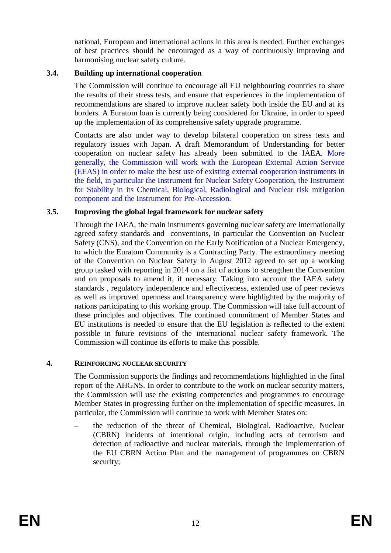national, European and international actions in this area is needed. Further exchanges of best practices should be encouraged as a way of continuously improving and harmonising nuclear safety culture.

#### **3.4. Building up international cooperation**

The Commission will continue to encourage all EU neighbouring countries to share the results of their stress tests, and ensure that experiences in the implementation of recommendations are shared to improve nuclear safety both inside the EU and at its borders. A Euratom loan is currently being considered for Ukraine, in order to speed up the implementation of its comprehensive safety upgrade programme.

Contacts are also under way to develop bilateral cooperation on stress tests and regulatory issues with Japan. A draft Memorandum of Understanding for better cooperation on nuclear safety has already been submitted to the IAEA. More generally, the Commission will work with the European External Action Service (EEAS) in order to make the best use of existing external cooperation instruments in the field, in particular the Instrument for Nuclear Safety Cooperation, the Instrument for Stability in its Chemical, Biological, Radiological and Nuclear risk mitigation component and the Instrument for Pre-Accession.

#### **3.5. Improving the global legal framework for nuclear safety**

Through the IAEA, the main instruments governing nuclear safety are internationally agreed safety standards and conventions, in particular the Convention on Nuclear Safety (CNS), and the Convention on the Early Notification of a Nuclear Emergency, to which the Euratom Community is a Contracting Party. The extraordinary meeting of the Convention on Nuclear Safety in August 2012 agreed to set up a working group tasked with reporting in 2014 on a list of actions to strengthen the Convention and on proposals to amend it, if necessary. Taking into account the IAEA safety standards , regulatory independence and effectiveness, extended use of peer reviews as well as improved openness and transparency were highlighted by the majority of nations participating to this working group. The Commission will take full account of these principles and objectives. The continued commitment of Member States and EU institutions is needed to ensure that the EU legislation is reflected to the extent possible in future revisions of the international nuclear safety framework. The Commission will continue its efforts to make this possible.

#### **4. REINFORCING NUCLEAR SECURITY**

The Commission supports the findings and recommendations highlighted in the final report of the AHGNS. In order to contribute to the work on nuclear security matters, the Commission will use the existing competencies and programmes to encourage Member States in progressing further on the implementation of specific measures. In particular, the Commission will continue to work with Member States on:

– the reduction of the threat of Chemical, Biological, Radioactive, Nuclear (CBRN) incidents of intentional origin, including acts of terrorism and detection of radioactive and nuclear materials, through the implementation of the EU CBRN Action Plan and the management of programmes on CBRN security;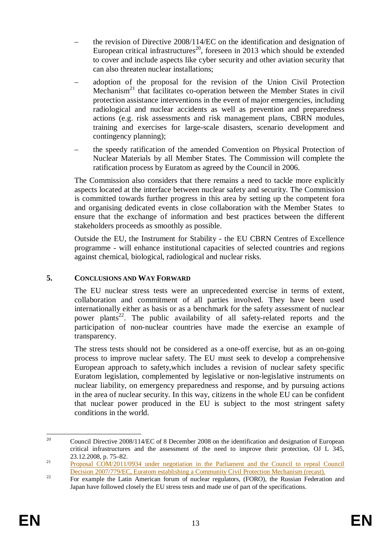- the revision of Directive 2008/114/EC on the identification and designation of European critical infrastructures<sup>20</sup>, foreseen in 2013 which should be extended to cover and include aspects like cyber security and other aviation security that can also threaten nuclear installations;
- adoption of the proposal for the revision of the Union Civil Protection Mechanism<sup>21</sup> that facilitates co-operation between the Member States in civil protection assistance interventions in the event of major emergencies, including radiological and nuclear accidents as well as prevention and preparedness actions (e.g. risk assessments and risk management plans, CBRN modules, training and exercises for large-scale disasters, scenario development and contingency planning);
- the speedy ratification of the amended Convention on Physical Protection of Nuclear Materials by all Member States. The Commission will complete the ratification process by Euratom as agreed by the Council in 2006.

The Commission also considers that there remains a need to tackle more explicitly aspects located at the interface between nuclear safety and security. The Commission is committed towards further progress in this area by setting up the competent fora and organising dedicated events in close collaboration with the Member States to ensure that the exchange of information and best practices between the different stakeholders proceeds as smoothly as possible.

Outside the EU, the Instrument for Stability - the EU CBRN Centres of Excellence programme - will enhance institutional capacities of selected countries and regions against chemical, biological, radiological and nuclear risks.

## **5. CONCLUSIONS AND WAY FORWARD**

The EU nuclear stress tests were an unprecedented exercise in terms of extent, collaboration and commitment of all parties involved. They have been used internationally either as basis or as a benchmark for the safety assessment of nuclear power plants<sup>22</sup>. The public availability of all safety-related reports and the participation of non-nuclear countries have made the exercise an example of transparency.

The stress tests should not be considered as a one-off exercise, but as an on-going process to improve nuclear safety. The EU must seek to develop a comprehensive European approach to safety,which includes a revision of nuclear safety specific Euratom legislation, complemented by legislative or non-legislative instruments on nuclear liability, on emergency preparedness and response, and by pursuing actions in the area of nuclear security. In this way, citizens in the whole EU can be confident that nuclear power produced in the EU is subject to the most stringent safety conditions in the world.

<sup>&</sup>lt;sup>20</sup> Council Directive 2008/114/EC of 8 December 2008 on the identification and designation of European critical infrastructures and the assessment of the need to improve their protection, OJ L 345, 23.12.2008, p. 75–82.

<sup>&</sup>lt;sup>21</sup> Proposal COM/2011/0934 under negotiation in the Parliament and the Council to repeal Council Decision 2007/779/EC, Euratom establishing a Community Civil Protection Mechanism (recast).

<sup>&</sup>lt;sup>22</sup> For example the Latin American forum of nuclear regulators, (FORO), the Russian Federation and Japan have followed closely the EU stress tests and made use of part of the specifications.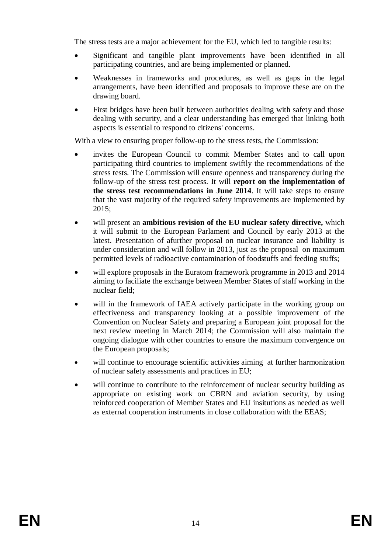The stress tests are a major achievement for the EU, which led to tangible results:

- Significant and tangible plant improvements have been identified in all participating countries, and are being implemented or planned.
- Weaknesses in frameworks and procedures, as well as gaps in the legal arrangements, have been identified and proposals to improve these are on the drawing board.
- First bridges have been built between authorities dealing with safety and those dealing with security, and a clear understanding has emerged that linking both aspects is essential to respond to citizens' concerns.

With a view to ensuring proper follow-up to the stress tests, the Commission:

- invites the European Council to commit Member States and to call upon participating third countries to implement swiftly the recommendations of the stress tests. The Commission will ensure openness and transparency during the follow-up of the stress test process. It will **report on the implementation of the stress test recommendations in June 2014**. It will take steps to ensure that the vast majority of the required safety improvements are implemented by 2015;
- will present an **ambitious revision of the EU nuclear safety directive,** which it will submit to the European Parlament and Council by early 2013 at the latest. Presentation of afurther proposal on nuclear insurance and liability is under consideration and will follow in 2013, just as the proposal on maximum permitted levels of radioactive contamination of foodstuffs and feeding stuffs;
- will explore proposals in the Euratom framework programme in 2013 and 2014 aiming to faciliate the exchange between Member States of staff working in the nuclear field;
- will in the framework of IAEA actively participate in the working group on effectiveness and transparency looking at a possible improvement of the Convention on Nuclear Safety and preparing a European joint proposal for the next review meeting in March 2014; the Commission will also maintain the ongoing dialogue with other countries to ensure the maximum convergence on the European proposals;
- will continue to encourage scientific activities aiming at further harmonization of nuclear safety assessments and practices in EU;
- will continue to contribute to the reinforcement of nuclear security building as appropriate on existing work on CBRN and aviation security, by using reinforced cooperation of Member States and EU insitutions as needed as well as external cooperation instruments in close collaboration with the EEAS;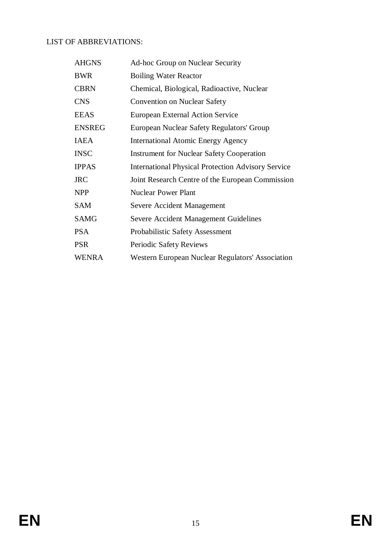# LIST OF ABBREVIATIONS:

| <b>AHGNS</b>  | <b>Ad-hoc Group on Nuclear Security</b>                   |
|---------------|-----------------------------------------------------------|
| <b>BWR</b>    | <b>Boiling Water Reactor</b>                              |
| <b>CBRN</b>   | Chemical, Biological, Radioactive, Nuclear                |
| <b>CNS</b>    | <b>Convention on Nuclear Safety</b>                       |
| <b>EEAS</b>   | <b>European External Action Service</b>                   |
| <b>ENSREG</b> | European Nuclear Safety Regulators' Group                 |
| <b>IAEA</b>   | <b>International Atomic Energy Agency</b>                 |
| <b>INSC</b>   | <b>Instrument for Nuclear Safety Cooperation</b>          |
| <b>IPPAS</b>  | <b>International Physical Protection Advisory Service</b> |
| <b>JRC</b>    | Joint Research Centre of the European Commission          |
| <b>NPP</b>    | <b>Nuclear Power Plant</b>                                |
| <b>SAM</b>    | Severe Accident Management                                |
| <b>SAMG</b>   | <b>Severe Accident Management Guidelines</b>              |
| <b>PSA</b>    | Probabilistic Safety Assessment                           |
| <b>PSR</b>    | Periodic Safety Reviews                                   |
| <b>WENRA</b>  | Western European Nuclear Regulators' Association          |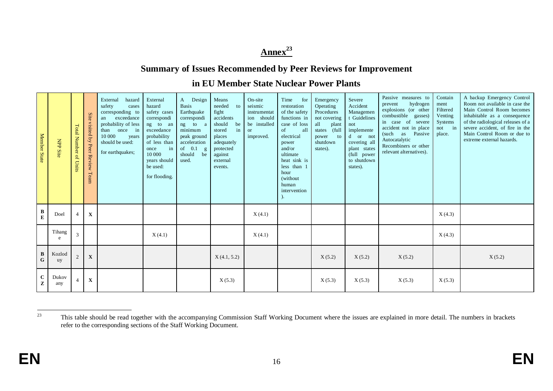# **Annex<sup>23</sup>**

# **Summary of Issues Recommended by Peer Reviews for Improvement**

# **in EU Member State Nuclear Power Plants**

| Member State                 | <b>NPP Site</b> | <b>Total Number of Units</b> | Site<br>visited<br>$\mathbf{b}\mathbf{y}$<br>Peer Review Team | External<br>hazard<br>safety<br>cases<br>corresponding to<br>exceedance<br>an<br>probability of less<br>once in<br>than<br>10 000<br>years<br>should be used:<br>for earthquakes; | External<br>hazard<br>safety cases<br>correspondi<br>ng to an<br>exceedance<br>probability<br>of less than<br>in<br>once<br>10 000<br>years should<br>be used:<br>for flooding. | Design<br>A<br><b>Basis</b><br>Earthquake<br>correspondi<br>ng to a<br>minimum<br>peak ground<br>acceleration<br>of $0.1$ g<br>should<br>be<br>used. | Means<br>needed<br>to<br>fight<br>accidents<br>should<br>be<br>in<br>stored<br>places<br>adequately<br>protected<br>against<br>external<br>events. | On-site<br>seismic<br>instrumentat<br>ion should<br>be installed<br><b>or</b><br>improved. | Time<br>for<br>restoration<br>of the safety<br>functions in<br>case of loss<br>of<br>all<br>electrical<br>power<br>and/or<br>ultimate<br>heat sink is<br>less than 1<br>hour<br>(without<br>human<br>intervention | Emergency<br>Operating<br>Procedures<br>not covering<br>all<br>plant<br>(full<br>states<br>power<br>to<br>shutdown<br>states). | Severe<br>Accident<br>Managemen<br>t Guidelines<br>not<br>implemente<br>d or not<br>covering all<br>plant states<br>(full power<br>to shutdown<br>states). | Passive measures to<br>hydrogen<br>prevent<br>explosions (or other<br>combustible gasses)<br>in case of severe<br>accident not in place<br>(such<br>as Passive<br>Autocatalytic<br>Recombiners or other<br>relevant alternatives). | Contain<br>ment<br>Filtered<br>Venting<br>Systems<br>not in<br>place. | A backup Emergency Control<br>Room not available in case the<br>Main Control Room becomes<br>inhabitable as a consequence<br>of the radiological releases of a<br>severe accident, of fire in the<br>Main Control Room or due to<br>extreme external hazards. |
|------------------------------|-----------------|------------------------------|---------------------------------------------------------------|-----------------------------------------------------------------------------------------------------------------------------------------------------------------------------------|---------------------------------------------------------------------------------------------------------------------------------------------------------------------------------|------------------------------------------------------------------------------------------------------------------------------------------------------|----------------------------------------------------------------------------------------------------------------------------------------------------|--------------------------------------------------------------------------------------------|-------------------------------------------------------------------------------------------------------------------------------------------------------------------------------------------------------------------|--------------------------------------------------------------------------------------------------------------------------------|------------------------------------------------------------------------------------------------------------------------------------------------------------|------------------------------------------------------------------------------------------------------------------------------------------------------------------------------------------------------------------------------------|-----------------------------------------------------------------------|---------------------------------------------------------------------------------------------------------------------------------------------------------------------------------------------------------------------------------------------------------------|
| $\, {\bf B}$<br>$\mathbf E$  | Doel            | $\overline{4}$               | $\mathbf{X}$                                                  |                                                                                                                                                                                   |                                                                                                                                                                                 |                                                                                                                                                      |                                                                                                                                                    | X(4.1)                                                                                     |                                                                                                                                                                                                                   |                                                                                                                                |                                                                                                                                                            |                                                                                                                                                                                                                                    | X(4.3)                                                                |                                                                                                                                                                                                                                                               |
|                              | Tihang<br>e     | 3                            |                                                               |                                                                                                                                                                                   | X(4.1)                                                                                                                                                                          |                                                                                                                                                      |                                                                                                                                                    | X(4.1)                                                                                     |                                                                                                                                                                                                                   |                                                                                                                                |                                                                                                                                                            |                                                                                                                                                                                                                                    | X(4.3)                                                                |                                                                                                                                                                                                                                                               |
| $\, {\bf B}$<br>$\mathbf{G}$ | Kozlod<br>uy    | $\overline{2}$               | $\mathbf X$                                                   |                                                                                                                                                                                   |                                                                                                                                                                                 |                                                                                                                                                      | X(4.1, 5.2)                                                                                                                                        |                                                                                            |                                                                                                                                                                                                                   | X(5.2)                                                                                                                         | X(5.2)                                                                                                                                                     | X(5.2)                                                                                                                                                                                                                             |                                                                       | X(5.2)                                                                                                                                                                                                                                                        |
| $\bf C$<br>$\mathbf{Z}$      | Dukov<br>any    | 4                            | $\mathbf X$                                                   |                                                                                                                                                                                   |                                                                                                                                                                                 |                                                                                                                                                      | X(5.3)                                                                                                                                             |                                                                                            |                                                                                                                                                                                                                   | X(5.3)                                                                                                                         | X(5.3)                                                                                                                                                     | X(5.3)                                                                                                                                                                                                                             | X(5.3)                                                                |                                                                                                                                                                                                                                                               |

<sup>&</sup>lt;sup>23</sup> This table should be read together with the accompanying Commission Staff Working Document where the issues are explained in more detail. The numbers in brackets refer to the corresponding sections of the Staff Working Document.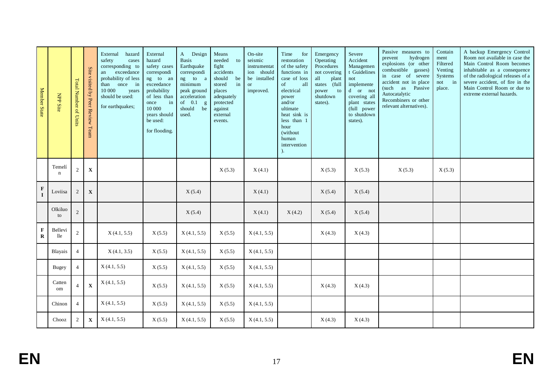| Member State               | NPP Site              | <b>Total Number of Units</b> | Site visited by Peer Review Team | External<br>hazard<br>safety<br>cases<br>corresponding to<br>exceedance<br>an<br>probability of less<br>once in<br>than<br>10 000<br>years<br>should be used:<br>for earthquakes; | External<br>hazard<br>safety cases<br>correspondi<br>ng to an<br>exceedance<br>probability<br>of less than<br>in<br>once<br>10 000<br>years should<br>be used:<br>for flooding. | A Design<br><b>Basis</b><br>Earthquake<br>correspondi<br>ng to a<br>minimum<br>peak ground<br>acceleration<br>of $\phantom{0}0.1$<br>$\mathbf{g}% _{0}\left( \mathbf{r},\mathbf{r}\right)$<br>should<br>be<br>used. | Means<br>needed<br>to<br>fight<br>accidents<br>should<br>be<br>stored<br>in<br>places<br>adequately<br>protected<br>against<br>external<br>events. | On-site<br>seismic<br>instrumentat<br>ion should<br>be installed<br><b>or</b><br>improved. | Time<br>for<br>restoration<br>of the safety<br>functions in<br>case of loss<br>of<br>all<br>electrical<br>power<br>and/or<br>ultimate<br>heat sink is<br>less than 1<br>hour<br>(without<br>human<br>intervention<br>). | Emergency<br>Operating<br>Procedures<br>not covering<br>all<br>plant<br>states (full<br>to<br>power<br>shutdown<br>states). | Severe<br>Accident<br>Managemen<br>t Guidelines<br>not<br>implemente<br>d or not<br>covering all<br>plant states<br>(full power<br>to shutdown<br>states). | Passive measures to<br>hydrogen<br>prevent<br>explosions (or other<br>combustible gasses)<br>in case of severe<br>accident not in place<br>(such as Passive<br>Autocatalytic<br>Recombiners or other<br>relevant alternatives). | Contain<br>ment<br>Filtered<br>Venting<br>Systems<br>not in<br>place. | A backup Emergency Control<br>Room not available in case the<br>Main Control Room becomes<br>inhabitable as a consequence<br>of the radiological releases of a<br>severe accident, of fire in the<br>Main Control Room or due to<br>extreme external hazards. |
|----------------------------|-----------------------|------------------------------|----------------------------------|-----------------------------------------------------------------------------------------------------------------------------------------------------------------------------------|---------------------------------------------------------------------------------------------------------------------------------------------------------------------------------|---------------------------------------------------------------------------------------------------------------------------------------------------------------------------------------------------------------------|----------------------------------------------------------------------------------------------------------------------------------------------------|--------------------------------------------------------------------------------------------|-------------------------------------------------------------------------------------------------------------------------------------------------------------------------------------------------------------------------|-----------------------------------------------------------------------------------------------------------------------------|------------------------------------------------------------------------------------------------------------------------------------------------------------|---------------------------------------------------------------------------------------------------------------------------------------------------------------------------------------------------------------------------------|-----------------------------------------------------------------------|---------------------------------------------------------------------------------------------------------------------------------------------------------------------------------------------------------------------------------------------------------------|
|                            | Temelí<br>$\mathbf n$ | $\overline{c}$               | $\mathbf X$                      |                                                                                                                                                                                   |                                                                                                                                                                                 |                                                                                                                                                                                                                     | X(5.3)                                                                                                                                             | X(4.1)                                                                                     |                                                                                                                                                                                                                         | X(5.3)                                                                                                                      | X(5.3)                                                                                                                                                     | X(5.3)                                                                                                                                                                                                                          | X(5.3)                                                                |                                                                                                                                                                                                                                                               |
| $\mathbf F$<br>$\mathbf I$ | Loviisa               | 2                            | $\mathbf X$                      |                                                                                                                                                                                   |                                                                                                                                                                                 | X(5.4)                                                                                                                                                                                                              |                                                                                                                                                    | X(4.1)                                                                                     |                                                                                                                                                                                                                         | X(5.4)                                                                                                                      | X(5.4)                                                                                                                                                     |                                                                                                                                                                                                                                 |                                                                       |                                                                                                                                                                                                                                                               |
|                            | Olkiluo<br>to         | $\sqrt{2}$                   |                                  |                                                                                                                                                                                   |                                                                                                                                                                                 | X(5.4)                                                                                                                                                                                                              |                                                                                                                                                    | X(4.1)                                                                                     | X(4.2)                                                                                                                                                                                                                  | X(5.4)                                                                                                                      | X(5.4)                                                                                                                                                     |                                                                                                                                                                                                                                 |                                                                       |                                                                                                                                                                                                                                                               |
| $\mathbf F$<br>${\bf R}$   | Bellevi<br>lle        | $\overline{2}$               |                                  | X(4.1, 5.5)                                                                                                                                                                       | X(5.5)                                                                                                                                                                          | X(4.1, 5.5)                                                                                                                                                                                                         | X(5.5)                                                                                                                                             | X(4.1, 5.5)                                                                                |                                                                                                                                                                                                                         | X(4.3)                                                                                                                      | X(4.3)                                                                                                                                                     |                                                                                                                                                                                                                                 |                                                                       |                                                                                                                                                                                                                                                               |
|                            | Blayais               | $\overline{4}$               |                                  | X(4.1, 3.5)                                                                                                                                                                       | X(5.5)                                                                                                                                                                          | X(4.1, 5.5)                                                                                                                                                                                                         | X(5.5)                                                                                                                                             | X(4.1, 5.5)                                                                                |                                                                                                                                                                                                                         |                                                                                                                             |                                                                                                                                                            |                                                                                                                                                                                                                                 |                                                                       |                                                                                                                                                                                                                                                               |
|                            | <b>Bugey</b>          | $\overline{4}$               |                                  | X(4.1, 5.5)                                                                                                                                                                       | X(5.5)                                                                                                                                                                          | X(4.1, 5.5)                                                                                                                                                                                                         | X(5.5)                                                                                                                                             | X(4.1, 5.5)                                                                                |                                                                                                                                                                                                                         |                                                                                                                             |                                                                                                                                                            |                                                                                                                                                                                                                                 |                                                                       |                                                                                                                                                                                                                                                               |
|                            | Catten<br>om          | $\overline{4}$               | $\mathbf X$                      | X(4.1, 5.5)                                                                                                                                                                       | X(5.5)                                                                                                                                                                          | X(4.1, 5.5)                                                                                                                                                                                                         | X(5.5)                                                                                                                                             | X(4.1, 5.5)                                                                                |                                                                                                                                                                                                                         | X(4.3)                                                                                                                      | X(4.3)                                                                                                                                                     |                                                                                                                                                                                                                                 |                                                                       |                                                                                                                                                                                                                                                               |
|                            | Chinon                | $\overline{4}$               |                                  | X(4.1, 5.5)                                                                                                                                                                       | X(5.5)                                                                                                                                                                          | X(4.1, 5.5)                                                                                                                                                                                                         | X(5.5)                                                                                                                                             | X(4.1, 5.5)                                                                                |                                                                                                                                                                                                                         |                                                                                                                             |                                                                                                                                                            |                                                                                                                                                                                                                                 |                                                                       |                                                                                                                                                                                                                                                               |
|                            | Chooz                 | 2                            | $\mathbf X$                      | X(4.1, 5.5)                                                                                                                                                                       | X(5.5)                                                                                                                                                                          | X(4.1, 5.5)                                                                                                                                                                                                         | X(5.5)                                                                                                                                             | X(4.1, 5.5)                                                                                |                                                                                                                                                                                                                         | X(4.3)                                                                                                                      | X(4.3)                                                                                                                                                     |                                                                                                                                                                                                                                 |                                                                       |                                                                                                                                                                                                                                                               |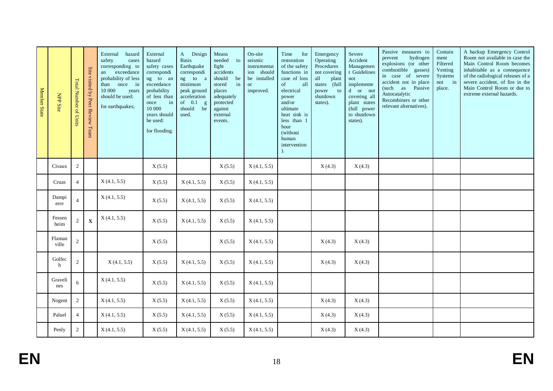| Member State | <b>NPP Site</b> | <b>Total Number of Units</b> | Site visited by Peer Review Team | hazard<br>External<br>safety<br>cases<br>corresponding to<br>an exceedance<br>probability of less<br>once in<br>than<br>10 000<br>years<br>should be used:<br>for earthquakes; | External<br>hazard<br>safety cases<br>correspondi<br>ng to an<br>exceedance<br>probability<br>of less than<br>in<br>once<br>10 000<br>years should<br>be used:<br>for flooding. | A Design<br><b>Basis</b><br>Earthquake<br>correspondi<br>ng to<br>a<br>minimum<br>peak ground<br>acceleration<br>of $0.1$<br>g<br>should<br>be<br>used. | Means<br>to<br>needed<br>fight<br>accidents<br>should<br>be<br>in<br>stored<br>places<br>adequately<br>protected<br>against<br>external<br>events. | On-site<br>seismic<br>instrumentat<br>ion should<br>be installed<br><b>or</b><br>improved. | Time<br>for<br>restoration<br>of the safety<br>functions in<br>case of loss<br>of<br>all<br>electrical<br>power<br>and/or<br>ultimate<br>heat sink is<br>less than 1<br>hour<br>(without<br>human<br>intervention<br>). | Emergency<br>Operating<br>Procedures<br>not covering<br>all<br>plant<br>states (full<br>power<br>to<br>shutdown<br>states). | Severe<br>Accident<br>Managemen<br>t Guidelines<br>not<br>implemente<br>d or not<br>covering all<br>plant states<br>(full power<br>to shutdown<br>states). | Passive measures to<br>hydrogen<br>prevent<br>explosions (or other<br>combustible gasses)<br>in case of severe<br>accident not in place<br>(such as Passive<br>Autocatalytic<br>Recombiners or other<br>relevant alternatives). | Contain<br>ment<br>Filtered<br>Venting<br>Systems<br>not in<br>place. | A backup Emergency Control<br>Room not available in case the<br>Main Control Room becomes<br>inhabitable as a consequence<br>of the radiological releases of a<br>severe accident, of fire in the<br>Main Control Room or due to<br>extreme external hazards. |
|--------------|-----------------|------------------------------|----------------------------------|--------------------------------------------------------------------------------------------------------------------------------------------------------------------------------|---------------------------------------------------------------------------------------------------------------------------------------------------------------------------------|---------------------------------------------------------------------------------------------------------------------------------------------------------|----------------------------------------------------------------------------------------------------------------------------------------------------|--------------------------------------------------------------------------------------------|-------------------------------------------------------------------------------------------------------------------------------------------------------------------------------------------------------------------------|-----------------------------------------------------------------------------------------------------------------------------|------------------------------------------------------------------------------------------------------------------------------------------------------------|---------------------------------------------------------------------------------------------------------------------------------------------------------------------------------------------------------------------------------|-----------------------------------------------------------------------|---------------------------------------------------------------------------------------------------------------------------------------------------------------------------------------------------------------------------------------------------------------|
|              | Civaux          | $\sqrt{2}$                   |                                  |                                                                                                                                                                                | X(5.5)                                                                                                                                                                          |                                                                                                                                                         | X(5.5)                                                                                                                                             | X(4.1, 5.5)                                                                                |                                                                                                                                                                                                                         | X(4.3)                                                                                                                      | X(4.3)                                                                                                                                                     |                                                                                                                                                                                                                                 |                                                                       |                                                                                                                                                                                                                                                               |
|              | Cruas           | $\overline{4}$               |                                  | X(4.1, 5.5)                                                                                                                                                                    | X(5.5)                                                                                                                                                                          | X(4.1, 5.5)                                                                                                                                             | X(5.5)                                                                                                                                             | X(4.1, 5.5)                                                                                |                                                                                                                                                                                                                         |                                                                                                                             |                                                                                                                                                            |                                                                                                                                                                                                                                 |                                                                       |                                                                                                                                                                                                                                                               |
|              | Dampi<br>erre   | $\overline{4}$               |                                  | X(4.1, 5.5)                                                                                                                                                                    | X(5.5)                                                                                                                                                                          | X(4.1, 5.5)                                                                                                                                             | X(5.5)                                                                                                                                             | X(4.1, 5.5)                                                                                |                                                                                                                                                                                                                         |                                                                                                                             |                                                                                                                                                            |                                                                                                                                                                                                                                 |                                                                       |                                                                                                                                                                                                                                                               |
|              | Fessen<br>heim  | $\sqrt{2}$                   | $\mathbf X$                      | X(4.1, 5.5)                                                                                                                                                                    | X(5.5)                                                                                                                                                                          | X(4.1, 5.5)                                                                                                                                             | X(5.5)                                                                                                                                             | X(4.1, 5.5)                                                                                |                                                                                                                                                                                                                         |                                                                                                                             |                                                                                                                                                            |                                                                                                                                                                                                                                 |                                                                       |                                                                                                                                                                                                                                                               |
|              | Flaman<br>ville | $\overline{c}$               |                                  |                                                                                                                                                                                | X(5.5)                                                                                                                                                                          |                                                                                                                                                         | X(5.5)                                                                                                                                             | X(4.1, 5.5)                                                                                |                                                                                                                                                                                                                         | X(4.3)                                                                                                                      | X(4.3)                                                                                                                                                     |                                                                                                                                                                                                                                 |                                                                       |                                                                                                                                                                                                                                                               |
|              | Golfec<br>h     | $\sqrt{2}$                   |                                  | X(4.1, 5.5)                                                                                                                                                                    | X(5.5)                                                                                                                                                                          | X(4.1, 5.5)                                                                                                                                             | X(5.5)                                                                                                                                             | X(4.1, 5.5)                                                                                |                                                                                                                                                                                                                         | X(4.3)                                                                                                                      | X(4.3)                                                                                                                                                     |                                                                                                                                                                                                                                 |                                                                       |                                                                                                                                                                                                                                                               |
|              | Graveli<br>nes  | 6                            |                                  | X(4.1, 5.5)                                                                                                                                                                    | X(5.5)                                                                                                                                                                          | X(4.1, 5.5)                                                                                                                                             | X(5.5)                                                                                                                                             | X(4.1, 5.5)                                                                                |                                                                                                                                                                                                                         |                                                                                                                             |                                                                                                                                                            |                                                                                                                                                                                                                                 |                                                                       |                                                                                                                                                                                                                                                               |
|              | Nogent          | $\sqrt{2}$                   |                                  | X(4.1, 5.5)                                                                                                                                                                    | X(5.5)                                                                                                                                                                          | X(4.1, 5.5)                                                                                                                                             | X(5.5)                                                                                                                                             | X(4.1, 5.5)                                                                                |                                                                                                                                                                                                                         | X(4.3)                                                                                                                      | X(4.3)                                                                                                                                                     |                                                                                                                                                                                                                                 |                                                                       |                                                                                                                                                                                                                                                               |
|              | Paluel          | $\overline{4}$               |                                  | X(4.1, 5.5)                                                                                                                                                                    | X(5.5)                                                                                                                                                                          | X(4.1, 5.5)                                                                                                                                             | X(5.5)                                                                                                                                             | X(4.1, 5.5)                                                                                |                                                                                                                                                                                                                         | X(4.3)                                                                                                                      | X(4.3)                                                                                                                                                     |                                                                                                                                                                                                                                 |                                                                       |                                                                                                                                                                                                                                                               |
|              | Penly           | $\overline{2}$               |                                  | X(4.1, 5.5)                                                                                                                                                                    | X(5.5)                                                                                                                                                                          | X(4.1, 5.5)                                                                                                                                             | X(5.5)                                                                                                                                             | X(4.1, 5.5)                                                                                |                                                                                                                                                                                                                         | X(4.3)                                                                                                                      | X(4.3)                                                                                                                                                     |                                                                                                                                                                                                                                 |                                                                       |                                                                                                                                                                                                                                                               |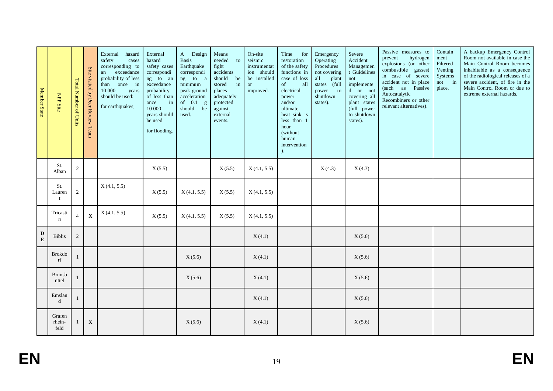| Member State   | NPP Site                      | <b>Total Number of Units</b> | Site visited by Peer Review Team | External<br>hazard<br>safety<br>cases<br>corresponding to<br>an exceedance<br>probability of less<br>once in<br>than<br>10 000<br>years<br>should be used:<br>for earthquakes; | External<br>hazard<br>safety cases<br>correspondi<br>ng to an<br>exceedance<br>probability<br>of less than<br>in<br>once<br>10 000<br>years should<br>be used:<br>for flooding. | A Design<br><b>Basis</b><br>Earthquake<br>correspondi<br>ng to a<br>minimum<br>peak ground<br>acceleration<br>of $0.1$<br>g<br>should<br>be<br>used. | Means<br>needed<br>to<br>fight<br>accidents<br>should<br>be<br>in<br>stored<br>places<br>adequately<br>protected<br>against<br>external<br>events. | On-site<br>seismic<br>instrumentat<br>ion should<br>be installed<br><b>or</b><br>improved. | Time<br>for<br>restoration<br>of the safety<br>functions in<br>case of loss<br>of<br>all<br>electrical<br>power<br>and/or<br>ultimate<br>heat sink is<br>less than 1<br>hour<br>(without)<br>human<br>intervention<br>). | Emergency<br>Operating<br>Procedures<br>not covering<br>all<br>plant<br>states (full<br>to<br>power<br>shutdown<br>states). | Severe<br>Accident<br>Managemen<br>t Guidelines<br>not<br>implemente<br>$d$ or not<br>covering all<br>plant states<br>(full power<br>to shutdown<br>states). | Passive measures to<br>hydrogen<br>prevent<br>explosions (or other<br>combustible gasses)<br>in case of severe<br>accident not in place<br>(such as Passive<br>Autocatalytic<br>Recombiners or other<br>relevant alternatives). | Contain<br>ment<br>Filtered<br>Venting<br>Systems<br>not in<br>place. | A backup Emergency Control<br>Room not available in case the<br>Main Control Room becomes<br>inhabitable as a consequence<br>of the radiological releases of a<br>severe accident, of fire in the<br>Main Control Room or due to<br>extreme external hazards. |
|----------------|-------------------------------|------------------------------|----------------------------------|--------------------------------------------------------------------------------------------------------------------------------------------------------------------------------|---------------------------------------------------------------------------------------------------------------------------------------------------------------------------------|------------------------------------------------------------------------------------------------------------------------------------------------------|----------------------------------------------------------------------------------------------------------------------------------------------------|--------------------------------------------------------------------------------------------|--------------------------------------------------------------------------------------------------------------------------------------------------------------------------------------------------------------------------|-----------------------------------------------------------------------------------------------------------------------------|--------------------------------------------------------------------------------------------------------------------------------------------------------------|---------------------------------------------------------------------------------------------------------------------------------------------------------------------------------------------------------------------------------|-----------------------------------------------------------------------|---------------------------------------------------------------------------------------------------------------------------------------------------------------------------------------------------------------------------------------------------------------|
|                | St.<br>Alban                  | $\overline{c}$               |                                  |                                                                                                                                                                                | X(5.5)                                                                                                                                                                          |                                                                                                                                                      | X(5.5)                                                                                                                                             | X(4.1, 5.5)                                                                                |                                                                                                                                                                                                                          | X(4.3)                                                                                                                      | X(4.3)                                                                                                                                                       |                                                                                                                                                                                                                                 |                                                                       |                                                                                                                                                                                                                                                               |
|                | St.<br>Lauren<br>$\mathbf{t}$ | $\sqrt{2}$                   |                                  | X(4.1, 5.5)                                                                                                                                                                    | X(5.5)                                                                                                                                                                          | X(4.1, 5.5)                                                                                                                                          | X(5.5)                                                                                                                                             | X(4.1, 5.5)                                                                                |                                                                                                                                                                                                                          |                                                                                                                             |                                                                                                                                                              |                                                                                                                                                                                                                                 |                                                                       |                                                                                                                                                                                                                                                               |
|                | Tricasti<br>$\mathbf n$       | $\overline{4}$               | $\mathbf X$                      | X(4.1, 5.5)                                                                                                                                                                    | X(5.5)                                                                                                                                                                          | X(4.1, 5.5)                                                                                                                                          | X(5.5)                                                                                                                                             | X(4.1, 5.5)                                                                                |                                                                                                                                                                                                                          |                                                                                                                             |                                                                                                                                                              |                                                                                                                                                                                                                                 |                                                                       |                                                                                                                                                                                                                                                               |
| D<br>${\bf E}$ | <b>Biblis</b>                 | $\overline{c}$               |                                  |                                                                                                                                                                                |                                                                                                                                                                                 |                                                                                                                                                      |                                                                                                                                                    | X(4.1)                                                                                     |                                                                                                                                                                                                                          |                                                                                                                             | X(5.6)                                                                                                                                                       |                                                                                                                                                                                                                                 |                                                                       |                                                                                                                                                                                                                                                               |
|                | <b>Brokdo</b><br>rf           |                              |                                  |                                                                                                                                                                                |                                                                                                                                                                                 | X(5.6)                                                                                                                                               |                                                                                                                                                    | X(4.1)                                                                                     |                                                                                                                                                                                                                          |                                                                                                                             | X(5.6)                                                                                                                                                       |                                                                                                                                                                                                                                 |                                                                       |                                                                                                                                                                                                                                                               |
|                | <b>Brunsb</b><br>üttel        | $\mathbf{1}$                 |                                  |                                                                                                                                                                                |                                                                                                                                                                                 | X(5.6)                                                                                                                                               |                                                                                                                                                    | X(4.1)                                                                                     |                                                                                                                                                                                                                          |                                                                                                                             | X(5.6)                                                                                                                                                       |                                                                                                                                                                                                                                 |                                                                       |                                                                                                                                                                                                                                                               |
|                | Emslan<br>d                   |                              |                                  |                                                                                                                                                                                |                                                                                                                                                                                 |                                                                                                                                                      |                                                                                                                                                    | X(4.1)                                                                                     |                                                                                                                                                                                                                          |                                                                                                                             | X(5.6)                                                                                                                                                       |                                                                                                                                                                                                                                 |                                                                       |                                                                                                                                                                                                                                                               |
|                | Grafen<br>rhein-<br>feld      | $\mathbf{1}$                 | $\mathbf X$                      |                                                                                                                                                                                |                                                                                                                                                                                 | X(5.6)                                                                                                                                               |                                                                                                                                                    | X(4.1)                                                                                     |                                                                                                                                                                                                                          |                                                                                                                             | X(5.6)                                                                                                                                                       |                                                                                                                                                                                                                                 |                                                                       |                                                                                                                                                                                                                                                               |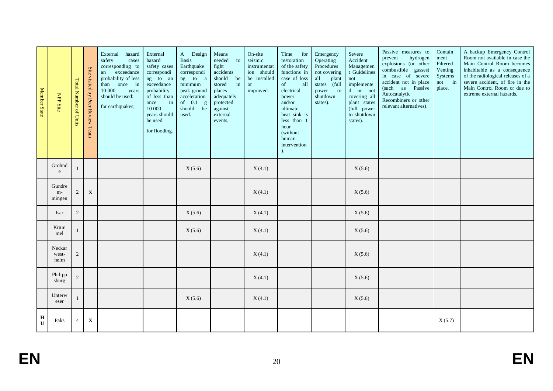| Member State               | NPP Site                | <b>Total Number of Units</b> | Site visited by Peer Review Team | External<br>hazard<br>safety<br>cases<br>corresponding to<br>exceedance<br>an<br>probability of less<br>once in<br>than<br>10 000<br>years<br>should be used:<br>for earthquakes; | External<br>hazard<br>safety cases<br>correspondi<br>ng to an<br>exceedance<br>probability<br>of less than<br>in<br>once<br>10 000<br>years should<br>be used:<br>for flooding. | A Design<br><b>Basis</b><br>Earthquake<br>correspondi<br>ng to a<br>minimum<br>peak ground<br>acceleration<br>of $0.1$<br>g<br>should<br>be<br>used. | Means<br>needed<br>to<br>fight<br>accidents<br>should<br>be<br>in<br>stored<br>places<br>adequately<br>protected<br>against<br>external<br>events. | On-site<br>seismic<br>instrumentat<br>ion should<br>be installed<br><b>or</b><br>improved. | Time<br>for<br>restoration<br>of the safety<br>functions in<br>case of loss<br>of<br>all<br>electrical<br>power<br>and/or<br>ultimate<br>heat sink is<br>less than 1<br>hour<br>(without<br>human<br>intervention<br>). | Emergency<br>Operating<br>Procedures<br>not covering<br>all<br>plant<br>states (full<br>$\mathbf{to}$<br>power<br>shutdown<br>states). | Severe<br>Accident<br>Managemen<br>t Guidelines<br>not<br>implemente<br>d or not<br>covering all<br>plant states<br>(full power<br>to shutdown<br>states). | Passive measures to<br>hydrogen<br>prevent<br>explosions (or other<br>combustible gasses)<br>in case of severe<br>accident not in place<br>(such as Passive<br>Autocatalytic<br>Recombiners or other<br>relevant alternatives). | Contain<br>ment<br>Filtered<br>Venting<br>Systems<br>not in<br>place. | A backup Emergency Control<br>Room not available in case the<br>Main Control Room becomes<br>inhabitable as a consequence<br>of the radiological releases of a<br>severe accident, of fire in the<br>Main Control Room or due to<br>extreme external hazards. |
|----------------------------|-------------------------|------------------------------|----------------------------------|-----------------------------------------------------------------------------------------------------------------------------------------------------------------------------------|---------------------------------------------------------------------------------------------------------------------------------------------------------------------------------|------------------------------------------------------------------------------------------------------------------------------------------------------|----------------------------------------------------------------------------------------------------------------------------------------------------|--------------------------------------------------------------------------------------------|-------------------------------------------------------------------------------------------------------------------------------------------------------------------------------------------------------------------------|----------------------------------------------------------------------------------------------------------------------------------------|------------------------------------------------------------------------------------------------------------------------------------------------------------|---------------------------------------------------------------------------------------------------------------------------------------------------------------------------------------------------------------------------------|-----------------------------------------------------------------------|---------------------------------------------------------------------------------------------------------------------------------------------------------------------------------------------------------------------------------------------------------------|
|                            | Grohnd<br>e             | $\mathbf{1}$                 |                                  |                                                                                                                                                                                   |                                                                                                                                                                                 | X(5.6)                                                                                                                                               |                                                                                                                                                    | X(4.1)                                                                                     |                                                                                                                                                                                                                         |                                                                                                                                        | X(5.6)                                                                                                                                                     |                                                                                                                                                                                                                                 |                                                                       |                                                                                                                                                                                                                                                               |
|                            | Gundre<br>m-<br>mingen  | $\sqrt{2}$                   | $\mathbf X$                      |                                                                                                                                                                                   |                                                                                                                                                                                 |                                                                                                                                                      |                                                                                                                                                    | X(4.1)                                                                                     |                                                                                                                                                                                                                         |                                                                                                                                        | X(5.6)                                                                                                                                                     |                                                                                                                                                                                                                                 |                                                                       |                                                                                                                                                                                                                                                               |
|                            | Isar                    | $\overline{c}$               |                                  |                                                                                                                                                                                   |                                                                                                                                                                                 | X(5.6)                                                                                                                                               |                                                                                                                                                    | X(4.1)                                                                                     |                                                                                                                                                                                                                         |                                                                                                                                        | X(5.6)                                                                                                                                                     |                                                                                                                                                                                                                                 |                                                                       |                                                                                                                                                                                                                                                               |
|                            | Krüm<br>mel             | $\mathbf{1}$                 |                                  |                                                                                                                                                                                   |                                                                                                                                                                                 | X(5.6)                                                                                                                                               |                                                                                                                                                    | X(4.1)                                                                                     |                                                                                                                                                                                                                         |                                                                                                                                        | X(5.6)                                                                                                                                                     |                                                                                                                                                                                                                                 |                                                                       |                                                                                                                                                                                                                                                               |
|                            | Neckar<br>west-<br>heim | $\sqrt{2}$                   |                                  |                                                                                                                                                                                   |                                                                                                                                                                                 |                                                                                                                                                      |                                                                                                                                                    | X(4.1)                                                                                     |                                                                                                                                                                                                                         |                                                                                                                                        | X(5.6)                                                                                                                                                     |                                                                                                                                                                                                                                 |                                                                       |                                                                                                                                                                                                                                                               |
|                            | Philipp<br>sburg        | $\overline{c}$               |                                  |                                                                                                                                                                                   |                                                                                                                                                                                 |                                                                                                                                                      |                                                                                                                                                    | X(4.1)                                                                                     |                                                                                                                                                                                                                         |                                                                                                                                        | X(5.6)                                                                                                                                                     |                                                                                                                                                                                                                                 |                                                                       |                                                                                                                                                                                                                                                               |
|                            | Unterw<br>eser          | $\mathbf{1}$                 |                                  |                                                                                                                                                                                   |                                                                                                                                                                                 | X(5.6)                                                                                                                                               |                                                                                                                                                    | X(4.1)                                                                                     |                                                                                                                                                                                                                         |                                                                                                                                        | X(5.6)                                                                                                                                                     |                                                                                                                                                                                                                                 |                                                                       |                                                                                                                                                                                                                                                               |
| $\mathbf H$<br>$\mathbf U$ | Paks                    | $\overline{4}$               | $\mathbf X$                      |                                                                                                                                                                                   |                                                                                                                                                                                 |                                                                                                                                                      |                                                                                                                                                    |                                                                                            |                                                                                                                                                                                                                         |                                                                                                                                        |                                                                                                                                                            |                                                                                                                                                                                                                                 | X(5.7)                                                                |                                                                                                                                                                                                                                                               |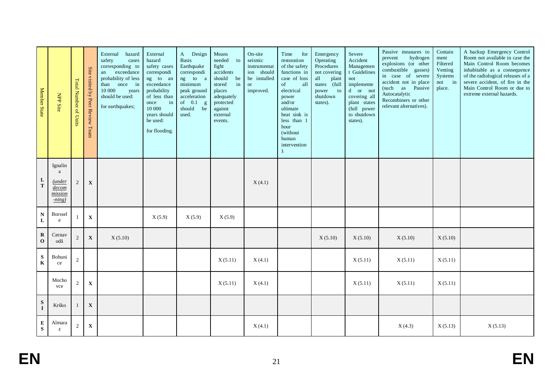| Member State             | NPP Site                                               | <b>Total Number of Units</b> | Site visited by Peer Review Team | External<br>hazard<br>safety<br>cases<br>corresponding to<br>exceedance<br>an<br>probability of less<br>once in<br>than<br>10 000<br>years<br>should be used:<br>for earthquakes; | External<br>hazard<br>safety cases<br>correspondi<br>ng to an<br>exceedance<br>probability<br>of less than<br>in<br>once<br>10 000<br>years should<br>be used:<br>for flooding. | A Design<br><b>Basis</b><br>Earthquake<br>correspondi<br>ng to<br>a<br>minimum<br>peak ground<br>acceleration<br>of $0.1$<br>g<br>should be<br>used. | Means<br>needed<br>to<br>fight<br>accidents<br>should<br>be<br>in<br>stored<br>places<br>adequately<br>protected<br>against<br>external<br>events. | On-site<br>seismic<br>instrumentat<br>ion should<br>be installed<br><b>or</b><br>improved. | Time<br>for<br>restoration<br>of the safety<br>functions in<br>case of loss<br>of<br>all<br>electrical<br>power<br>and/or<br>ultimate<br>heat sink is<br>less than 1<br>hour<br>(without<br>human<br>intervention | Emergency<br>Operating<br>Procedures<br>not covering<br>all<br>plant<br>states (full<br>to<br>power<br>shutdown<br>states). | Severe<br>Accident<br>Managemen<br>t Guidelines<br>not<br>implemente<br>d or not<br>covering all<br>plant states<br>(full power<br>to shutdown<br>states). | Passive measures to<br>hydrogen<br>prevent<br>explosions (or other<br>combustible gasses)<br>in case of severe<br>accident not in place<br>(such as Passive<br>Autocatalytic<br>Recombiners or other<br>relevant alternatives). | Contain<br>ment<br>Filtered<br>Venting<br>Systems<br>not in<br>place. | A backup Emergency Control<br>Room not available in case the<br>Main Control Room becomes<br>inhabitable as a consequence<br>of the radiological releases of a<br>severe accident, of fire in the<br>Main Control Room or due to<br>extreme external hazards. |
|--------------------------|--------------------------------------------------------|------------------------------|----------------------------------|-----------------------------------------------------------------------------------------------------------------------------------------------------------------------------------|---------------------------------------------------------------------------------------------------------------------------------------------------------------------------------|------------------------------------------------------------------------------------------------------------------------------------------------------|----------------------------------------------------------------------------------------------------------------------------------------------------|--------------------------------------------------------------------------------------------|-------------------------------------------------------------------------------------------------------------------------------------------------------------------------------------------------------------------|-----------------------------------------------------------------------------------------------------------------------------|------------------------------------------------------------------------------------------------------------------------------------------------------------|---------------------------------------------------------------------------------------------------------------------------------------------------------------------------------------------------------------------------------|-----------------------------------------------------------------------|---------------------------------------------------------------------------------------------------------------------------------------------------------------------------------------------------------------------------------------------------------------|
| L<br>$\mathbf T$         | Ignalin<br>a<br>(under<br>decom<br>mission<br>$-ning)$ | $\sqrt{2}$                   | $\mathbf X$                      |                                                                                                                                                                                   |                                                                                                                                                                                 |                                                                                                                                                      |                                                                                                                                                    | X(4.1)                                                                                     |                                                                                                                                                                                                                   |                                                                                                                             |                                                                                                                                                            |                                                                                                                                                                                                                                 |                                                                       |                                                                                                                                                                                                                                                               |
| ${\bf N}$<br>$\mathbf L$ | <b>Borssel</b><br>e                                    |                              | $\mathbf X$                      |                                                                                                                                                                                   | X(5.9)                                                                                                                                                                          | X(5.9)                                                                                                                                               | X(5.9)                                                                                                                                             |                                                                                            |                                                                                                                                                                                                                   |                                                                                                                             |                                                                                                                                                            |                                                                                                                                                                                                                                 |                                                                       |                                                                                                                                                                                                                                                               |
| $\bf R$<br>$\mathbf 0$   | Cernav<br>odă                                          | 2                            | $\mathbf X$                      | X(5.10)                                                                                                                                                                           |                                                                                                                                                                                 |                                                                                                                                                      |                                                                                                                                                    |                                                                                            |                                                                                                                                                                                                                   | X(5.10)                                                                                                                     | X(5.10)                                                                                                                                                    | X(5.10)                                                                                                                                                                                                                         | X(5.10)                                                               |                                                                                                                                                                                                                                                               |
| ${\bf S}$<br>$\mathbf K$ | Bohuni<br>ce                                           | $\sqrt{2}$                   |                                  |                                                                                                                                                                                   |                                                                                                                                                                                 |                                                                                                                                                      | X(5.11)                                                                                                                                            | X(4.1)                                                                                     |                                                                                                                                                                                                                   |                                                                                                                             | X(5.11)                                                                                                                                                    | X(5.11)                                                                                                                                                                                                                         | X(5.11)                                                               |                                                                                                                                                                                                                                                               |
|                          | Mocho<br>vce                                           | $\overline{c}$               | $\mathbf X$                      |                                                                                                                                                                                   |                                                                                                                                                                                 |                                                                                                                                                      | X(5.11)                                                                                                                                            | X(4.1)                                                                                     |                                                                                                                                                                                                                   |                                                                                                                             | X(5.11)                                                                                                                                                    | X(5.11)                                                                                                                                                                                                                         | X(5.11)                                                               |                                                                                                                                                                                                                                                               |
| ${\bf S}$<br>$\bf{I}$    | Krško                                                  |                              | $\mathbf X$                      |                                                                                                                                                                                   |                                                                                                                                                                                 |                                                                                                                                                      |                                                                                                                                                    |                                                                                            |                                                                                                                                                                                                                   |                                                                                                                             |                                                                                                                                                            |                                                                                                                                                                                                                                 |                                                                       |                                                                                                                                                                                                                                                               |
| ${\bf E}$<br>${\bf S}$   | Almara<br>$\mathbf{Z}$                                 | $\sqrt{2}$                   | $\mathbf X$                      |                                                                                                                                                                                   |                                                                                                                                                                                 |                                                                                                                                                      |                                                                                                                                                    | X(4.1)                                                                                     |                                                                                                                                                                                                                   |                                                                                                                             |                                                                                                                                                            | X(4.3)                                                                                                                                                                                                                          | X(5.13)                                                               | X(5.13)                                                                                                                                                                                                                                                       |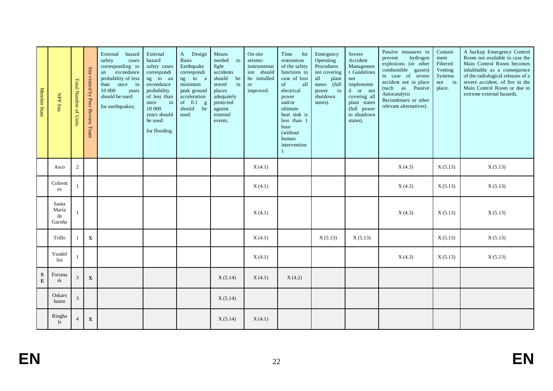| Member State           | <b>NPP Site</b>                | Total Number of Units | Site visited by Peer Review Team | External hazard<br>safety<br>cases<br>corresponding to<br>exceedance<br>an<br>probability of less<br>once in<br>than<br>10 000<br>years<br>should be used:<br>for earthquakes; | External<br>hazard<br>safety cases<br>correspondi<br>ng to an<br>exceedance<br>probability<br>of less than<br>in<br>once<br>10 000<br>years should<br>be used:<br>for flooding. | A Design<br><b>Basis</b><br>Earthquake<br>correspondi<br>ng to a<br>minimum<br>peak ground<br>acceleration<br>of $0.1$<br>$\mathbf{g}$<br>should<br>be<br>used. | Means<br>needed<br>to<br>fight<br>accidents<br>should<br>be<br>stored<br>in<br>places<br>adequately<br>protected<br>against<br>external<br>events. | On-site<br>seismic<br>instrumentat<br>ion should<br>be installed<br><b>or</b><br>improved. | Time<br>for<br>restoration<br>of the safety<br>functions in<br>case of loss<br>of<br>all<br>electrical<br>power<br>and/or<br>ultimate<br>heat sink is<br>less than 1<br>hour<br>(without<br>human<br>intervention<br>). | Emergency<br>Operating<br>Procedures<br>not covering<br>all<br>plant<br>states (full<br>to<br>power<br>shutdown<br>states). | Severe<br>Accident<br>Managemen<br>t Guidelines<br>not<br>implemente<br>d or not<br>covering all<br>plant states<br>(full power<br>to shutdown<br>states). | Passive measures to<br>hydrogen<br>prevent<br>explosions (or other<br>combustible gasses)<br>in case of severe<br>accident not in place<br>(such as Passive<br>Autocatalytic<br>Recombiners or other<br>relevant alternatives). | Contain<br>ment<br>Filtered<br>Venting<br>Systems<br>not in<br>place. | A backup Emergency Control<br>Room not available in case the<br>Main Control Room becomes<br>inhabitable as a consequence<br>of the radiological releases of a<br>severe accident, of fire in the<br>Main Control Room or due to<br>extreme external hazards. |
|------------------------|--------------------------------|-----------------------|----------------------------------|--------------------------------------------------------------------------------------------------------------------------------------------------------------------------------|---------------------------------------------------------------------------------------------------------------------------------------------------------------------------------|-----------------------------------------------------------------------------------------------------------------------------------------------------------------|----------------------------------------------------------------------------------------------------------------------------------------------------|--------------------------------------------------------------------------------------------|-------------------------------------------------------------------------------------------------------------------------------------------------------------------------------------------------------------------------|-----------------------------------------------------------------------------------------------------------------------------|------------------------------------------------------------------------------------------------------------------------------------------------------------|---------------------------------------------------------------------------------------------------------------------------------------------------------------------------------------------------------------------------------|-----------------------------------------------------------------------|---------------------------------------------------------------------------------------------------------------------------------------------------------------------------------------------------------------------------------------------------------------|
|                        | Asco                           | $\overline{c}$        |                                  |                                                                                                                                                                                |                                                                                                                                                                                 |                                                                                                                                                                 |                                                                                                                                                    | X(4.1)                                                                                     |                                                                                                                                                                                                                         |                                                                                                                             |                                                                                                                                                            | X(4.3)                                                                                                                                                                                                                          | X(5.13)                                                               | X(5.13)                                                                                                                                                                                                                                                       |
|                        | Cofrent<br>es                  |                       |                                  |                                                                                                                                                                                |                                                                                                                                                                                 |                                                                                                                                                                 |                                                                                                                                                    | X(4.1)                                                                                     |                                                                                                                                                                                                                         |                                                                                                                             |                                                                                                                                                            | X(4.3)                                                                                                                                                                                                                          | X(5.13)                                                               | X(5.13)                                                                                                                                                                                                                                                       |
|                        | Santa<br>María<br>de<br>Garoña | $\mathbf{1}$          |                                  |                                                                                                                                                                                |                                                                                                                                                                                 |                                                                                                                                                                 |                                                                                                                                                    | X(4.1)                                                                                     |                                                                                                                                                                                                                         |                                                                                                                             |                                                                                                                                                            | X(4.3)                                                                                                                                                                                                                          | X(5.13)                                                               | X(5.13)                                                                                                                                                                                                                                                       |
|                        | Trillo                         | $\overline{1}$        | $\mathbf X$                      |                                                                                                                                                                                |                                                                                                                                                                                 |                                                                                                                                                                 |                                                                                                                                                    | X(4.1)                                                                                     |                                                                                                                                                                                                                         | X(5.13)                                                                                                                     | X(5.13)                                                                                                                                                    |                                                                                                                                                                                                                                 | X(5.13)                                                               | X(5.13)                                                                                                                                                                                                                                                       |
|                        | Vandel<br>lòs                  | $\mathbf{1}$          |                                  |                                                                                                                                                                                |                                                                                                                                                                                 |                                                                                                                                                                 |                                                                                                                                                    | X(4.1)                                                                                     |                                                                                                                                                                                                                         |                                                                                                                             |                                                                                                                                                            | X(4.3)                                                                                                                                                                                                                          | X(5.13)                                                               | X(5.13)                                                                                                                                                                                                                                                       |
| ${\bf S}$<br>${\bf E}$ | Forsma<br>rk                   | 3                     | $\mathbf X$                      |                                                                                                                                                                                |                                                                                                                                                                                 |                                                                                                                                                                 | X(5.14)                                                                                                                                            | X(4.1)                                                                                     | X(4.2)                                                                                                                                                                                                                  |                                                                                                                             |                                                                                                                                                            |                                                                                                                                                                                                                                 |                                                                       |                                                                                                                                                                                                                                                               |
|                        | Oskars<br>hamn                 | $\overline{3}$        |                                  |                                                                                                                                                                                |                                                                                                                                                                                 |                                                                                                                                                                 | X(5.14)                                                                                                                                            |                                                                                            |                                                                                                                                                                                                                         |                                                                                                                             |                                                                                                                                                            |                                                                                                                                                                                                                                 |                                                                       |                                                                                                                                                                                                                                                               |
|                        | Ringha<br>$\lg$                | $\overline{4}$        | $\mathbf X$                      |                                                                                                                                                                                |                                                                                                                                                                                 |                                                                                                                                                                 | X(5.14)                                                                                                                                            | X(4.1)                                                                                     |                                                                                                                                                                                                                         |                                                                                                                             |                                                                                                                                                            |                                                                                                                                                                                                                                 |                                                                       |                                                                                                                                                                                                                                                               |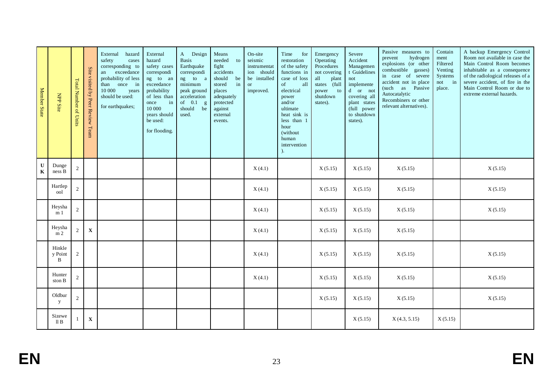| Member State               | <b>NPP Site</b>          | <b>Total Number of Units</b> | Site<br>visited by Peer Review Team | External<br>hazard<br>safety<br>cases<br>corresponding to<br>exceedance<br>an<br>probability of less<br>once in<br>than<br>10 000<br>years<br>should be used:<br>for earthquakes; | External<br>hazard<br>safety cases<br>correspondi<br>ng to an<br>exceedance<br>probability<br>of less than<br>in<br>once<br>10 000<br>years should<br>be used:<br>for flooding. | A Design<br><b>Basis</b><br>Earthquake<br>correspondi<br>ng to a<br>minimum<br>peak ground<br>acceleration<br>of $0.1$ g<br>should be<br>used. | Means<br>needed<br>to<br>fight<br>accidents<br>should<br>be<br>in<br>stored<br>places<br>adequately<br>protected<br>against<br>external<br>events. | On-site<br>seismic<br>instrumentat<br>ion should<br>be installed<br><b>or</b><br>improved. | Time<br>for<br>restoration<br>of the safety<br>functions in<br>case of loss<br>of<br>all<br>electrical<br>power<br>and/or<br>ultimate<br>heat sink is<br>less than 1<br>hour<br>(without<br>human<br>intervention<br>$\lambda$ | Emergency<br>Operating<br>Procedures<br>not covering<br>all<br>plant<br>states (full<br>$\overline{\ }$ to<br>power<br>shutdown<br>states). | Severe<br>Accident<br>Managemen<br>t Guidelines<br>not<br>implemente<br>d or not<br>covering all<br>plant states<br>(full power<br>to shutdown<br>states). | Passive measures to<br>hydrogen<br>prevent<br>explosions (or other<br>combustible gasses)<br>in case of severe<br>accident not in place<br>(such as Passive<br>Autocatalytic<br>Recombiners or other<br>relevant alternatives). | Contain<br>ment<br>Filtered<br>Venting<br>Systems<br>not in<br>place. | A backup Emergency Control<br>Room not available in case the<br>Main Control Room becomes<br>inhabitable as a consequence<br>of the radiological releases of a<br>severe accident, of fire in the<br>Main Control Room or due to<br>extreme external hazards. |
|----------------------------|--------------------------|------------------------------|-------------------------------------|-----------------------------------------------------------------------------------------------------------------------------------------------------------------------------------|---------------------------------------------------------------------------------------------------------------------------------------------------------------------------------|------------------------------------------------------------------------------------------------------------------------------------------------|----------------------------------------------------------------------------------------------------------------------------------------------------|--------------------------------------------------------------------------------------------|--------------------------------------------------------------------------------------------------------------------------------------------------------------------------------------------------------------------------------|---------------------------------------------------------------------------------------------------------------------------------------------|------------------------------------------------------------------------------------------------------------------------------------------------------------|---------------------------------------------------------------------------------------------------------------------------------------------------------------------------------------------------------------------------------|-----------------------------------------------------------------------|---------------------------------------------------------------------------------------------------------------------------------------------------------------------------------------------------------------------------------------------------------------|
| $\mathbf U$<br>$\mathbf K$ | Dunge<br>ness B          | 2                            |                                     |                                                                                                                                                                                   |                                                                                                                                                                                 |                                                                                                                                                |                                                                                                                                                    | X(4.1)                                                                                     |                                                                                                                                                                                                                                | X(5.15)                                                                                                                                     | X(5.15)                                                                                                                                                    | X(5.15)                                                                                                                                                                                                                         |                                                                       | X(5.15)                                                                                                                                                                                                                                                       |
|                            | Hartlep<br>ool           | $\sqrt{2}$                   |                                     |                                                                                                                                                                                   |                                                                                                                                                                                 |                                                                                                                                                |                                                                                                                                                    | X(4.1)                                                                                     |                                                                                                                                                                                                                                | X(5.15)                                                                                                                                     | X(5.15)                                                                                                                                                    | X(5.15)                                                                                                                                                                                                                         |                                                                       | X(5.15)                                                                                                                                                                                                                                                       |
|                            | Heysha<br>m <sub>1</sub> | $\mathbf{2}$                 |                                     |                                                                                                                                                                                   |                                                                                                                                                                                 |                                                                                                                                                |                                                                                                                                                    | X(4.1)                                                                                     |                                                                                                                                                                                                                                | X(5.15)                                                                                                                                     | X(5.15)                                                                                                                                                    | X(5.15)                                                                                                                                                                                                                         |                                                                       | X(5.15)                                                                                                                                                                                                                                                       |
|                            | Heysha<br>m <sub>2</sub> | $\overline{2}$               | $\mathbf X$                         |                                                                                                                                                                                   |                                                                                                                                                                                 |                                                                                                                                                |                                                                                                                                                    | X(4.1)                                                                                     |                                                                                                                                                                                                                                | X(5.15)                                                                                                                                     | X(5.15)                                                                                                                                                    | X(5.15)                                                                                                                                                                                                                         |                                                                       |                                                                                                                                                                                                                                                               |
|                            | Hinkle<br>y Point<br>B   | 2                            |                                     |                                                                                                                                                                                   |                                                                                                                                                                                 |                                                                                                                                                |                                                                                                                                                    | X(4.1)                                                                                     |                                                                                                                                                                                                                                | X(5.15)                                                                                                                                     | X(5.15)                                                                                                                                                    | X(5.15)                                                                                                                                                                                                                         |                                                                       | X(5.15)                                                                                                                                                                                                                                                       |
|                            | Hunter<br>ston B         | $\mathbf{2}$                 |                                     |                                                                                                                                                                                   |                                                                                                                                                                                 |                                                                                                                                                |                                                                                                                                                    | X(4.1)                                                                                     |                                                                                                                                                                                                                                | X(5.15)                                                                                                                                     | X(5.15)                                                                                                                                                    | X(5.15)                                                                                                                                                                                                                         |                                                                       | X(5.15)                                                                                                                                                                                                                                                       |
|                            | Oldbur<br>y              | 2                            |                                     |                                                                                                                                                                                   |                                                                                                                                                                                 |                                                                                                                                                |                                                                                                                                                    |                                                                                            |                                                                                                                                                                                                                                | X(5.15)                                                                                                                                     | X(5.15)                                                                                                                                                    | X(5.15)                                                                                                                                                                                                                         |                                                                       | X(5.15)                                                                                                                                                                                                                                                       |
|                            | Sizewe<br>II B           |                              | $\mathbf X$                         |                                                                                                                                                                                   |                                                                                                                                                                                 |                                                                                                                                                |                                                                                                                                                    |                                                                                            |                                                                                                                                                                                                                                |                                                                                                                                             | X(5.15)                                                                                                                                                    | X(4.3, 5.15)                                                                                                                                                                                                                    | X(5.15)                                                               |                                                                                                                                                                                                                                                               |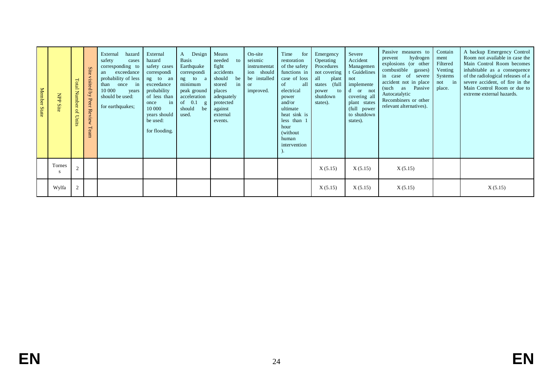| <b>Member</b><br><b>State</b> | $\overline{\text{d}}$<br>Site | Total<br><b>Number</b><br>$\mathfrak{g}$<br><b>Units</b> | <b>Site</b><br>visited<br>$\overline{a}$<br>Peer Review<br>Team | External<br>hazard<br>safety<br>cases<br>corresponding to<br>exceedance<br>an<br>probability of less<br>once in<br>than<br>10 000<br>years<br>should be used:<br>for earthquakes; | External<br>hazard<br>safety cases<br>correspondi<br>ng to an<br>exceedance<br>probability<br>of less than<br>in<br>once<br>10 000<br>years should<br>be used:<br>for flooding. | Design<br>A<br><b>Basis</b><br>Earthquake<br>correspondi<br>to<br>ng<br>a<br>minimum<br>peak ground<br>acceleration<br>of $0.1$<br>$\mathbf{g}$<br>should<br>be<br>used. | Means<br>needed<br>to<br>fight<br>accidents<br>should<br>be<br>stored<br>in<br>places<br>adequately<br>protected<br>against<br>external<br>events. | On-site<br>seismic<br>instrumentat<br>ion should<br>be installed<br><sub>or</sub><br>improved. | Time<br>for<br>restoration<br>of the safety<br>functions in<br>case of loss<br>all<br>of<br>electrical<br>power<br>and/or<br>ultimate<br>heat sink is<br>less than 1<br>hour<br>(without)<br>human<br>intervention | Emergency<br>Operating<br>Procedures<br>not covering<br>all<br>plant<br>full<br>states<br>power<br>to<br>shutdown<br>states). | Severe<br>Accident<br>Managemen<br>t Guidelines<br>not<br>implemente<br>d<br>or not<br>covering all<br>plant states<br>full<br>power<br>to shutdown<br>states). | Passive measures to<br>hydrogen<br>prevent<br>explosions (or other<br>combustible<br>gasses)<br>in case of severe<br>accident not in place<br>Passive<br>(such as<br>Autocatalytic<br>Recombiners or other<br>relevant alternatives). | Contain<br>ment<br>Filtered<br>Venting<br>Systems<br>not in<br>place. | A backup Emergency Control<br>Room not available in case the<br>Main Control Room becomes<br>inhabitable as a consequence<br>of the radiological releases of a<br>severe accident, of fire in the<br>Main Control Room or due to<br>extreme external hazards. |
|-------------------------------|-------------------------------|----------------------------------------------------------|-----------------------------------------------------------------|-----------------------------------------------------------------------------------------------------------------------------------------------------------------------------------|---------------------------------------------------------------------------------------------------------------------------------------------------------------------------------|--------------------------------------------------------------------------------------------------------------------------------------------------------------------------|----------------------------------------------------------------------------------------------------------------------------------------------------|------------------------------------------------------------------------------------------------|--------------------------------------------------------------------------------------------------------------------------------------------------------------------------------------------------------------------|-------------------------------------------------------------------------------------------------------------------------------|-----------------------------------------------------------------------------------------------------------------------------------------------------------------|---------------------------------------------------------------------------------------------------------------------------------------------------------------------------------------------------------------------------------------|-----------------------------------------------------------------------|---------------------------------------------------------------------------------------------------------------------------------------------------------------------------------------------------------------------------------------------------------------|
|                               | Tornes<br>-S                  | $\overline{2}$                                           |                                                                 |                                                                                                                                                                                   |                                                                                                                                                                                 |                                                                                                                                                                          |                                                                                                                                                    |                                                                                                |                                                                                                                                                                                                                    | X(5.15)                                                                                                                       | X(5.15)                                                                                                                                                         | X(5.15)                                                                                                                                                                                                                               |                                                                       |                                                                                                                                                                                                                                                               |
|                               | Wylfa                         | $\overline{c}$                                           |                                                                 |                                                                                                                                                                                   |                                                                                                                                                                                 |                                                                                                                                                                          |                                                                                                                                                    |                                                                                                |                                                                                                                                                                                                                    | X(5.15)                                                                                                                       | X(5.15)                                                                                                                                                         | X(5.15)                                                                                                                                                                                                                               |                                                                       | X(5.15)                                                                                                                                                                                                                                                       |